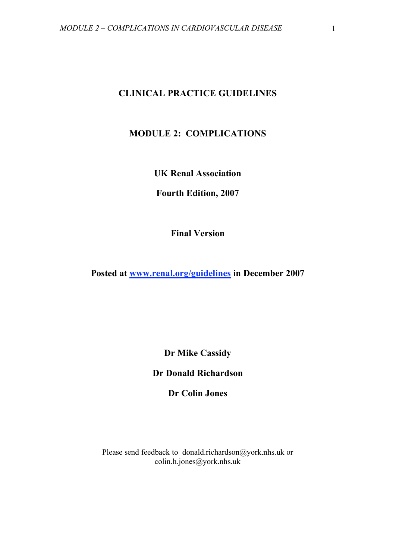# **CLINICAL PRACTICE GUIDELINES**

# **MODULE 2: COMPLICATIONS**

**UK Renal Association**

**Fourth Edition, 2007**

**Final Version**

**Posted at www.renal.org/guidelines in December 2007**

**Dr Mike Cassidy**

**Dr Donald Richardson**

**Dr Colin Jones**

Please send feedback to donald.richardson@york.nhs.uk or colin.h.jones@york.nhs.uk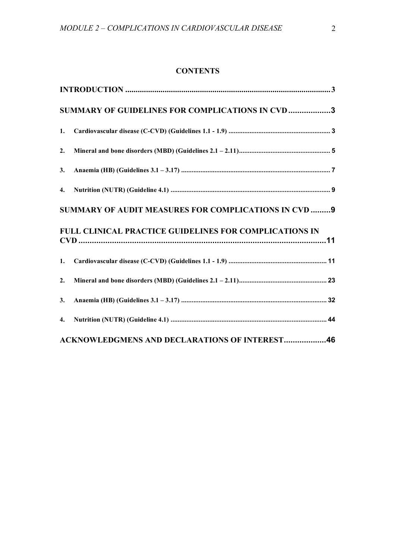# **CONTENTS**

| SUMMARY OF GUIDELINES FOR COMPLICATIONS IN CVD 3 |                                                        |  |
|--------------------------------------------------|--------------------------------------------------------|--|
| 1.                                               |                                                        |  |
| 2.                                               |                                                        |  |
| 3.                                               |                                                        |  |
| 4.                                               |                                                        |  |
|                                                  | SUMMARY OF AUDIT MEASURES FOR COMPLICATIONS IN CVD  9  |  |
|                                                  | FULL CLINICAL PRACTICE GUIDELINES FOR COMPLICATIONS IN |  |
| 1.                                               |                                                        |  |
| 2.                                               |                                                        |  |
| 3.                                               |                                                        |  |
| 4.                                               |                                                        |  |
|                                                  | <b>ACKNOWLEDGMENS AND DECLARATIONS OF INTEREST46</b>   |  |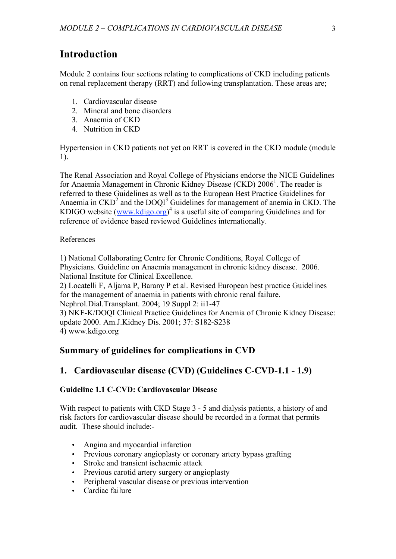# **Introduction**

Module 2 contains four sections relating to complications of CKD including patients on renal replacement therapy (RRT) and following transplantation. These areas are;

- 1. Cardiovascular disease
- 2. Mineral and bone disorders
- 3. Anaemia of CKD
- 4. Nutrition in CKD

Hypertension in CKD patients not yet on RRT is covered in the CKD module (module 1).

The Renal Association and Royal College of Physicians endorse the NICE Guidelines for Anaemia Management in Chronic Kidney Disease (CKD) 2006<sup>1</sup>. The reader is referred to these Guidelines as well as to the European Best Practice Guidelines for Anaemia in  $\text{CKD}^2$  and the DOQI<sup>3</sup> Guidelines for management of anemia in CKD. The KDIGO website  $(www.kdigo.org)^4$  is a useful site of comparing Guidelines and for reference of evidence based reviewed Guidelines internationally.

# References

1) National Collaborating Centre for Chronic Conditions, Royal College of Physicians. Guideline on Anaemia management in chronic kidney disease. 2006. National Institute for Clinical Excellence.

2) Locatelli F, Aljama P, Barany P et al. Revised European best practice Guidelines for the management of anaemia in patients with chronic renal failure. Nephrol.Dial.Transplant. 2004; 19 Suppl 2: ii1-47 3) NKF-K/DOQI Clinical Practice Guidelines for Anemia of Chronic Kidney Disease: update 2000. Am.J.Kidney Dis. 2001; 37: S182-S238

4) www.kdigo.org

# **Summary of guidelines for complications in CVD**

# **1. Cardiovascular disease (CVD) (Guidelines C-CVD-1.1 - 1.9)**

# **Guideline 1.1 C-CVD: Cardiovascular Disease**

With respect to patients with CKD Stage 3 - 5 and dialysis patients, a history of and risk factors for cardiovascular disease should be recorded in a format that permits audit. These should include:-

- Angina and myocardial infarction
- Previous coronary angioplasty or coronary artery bypass grafting
- Stroke and transient ischaemic attack
- Previous carotid artery surgery or angioplasty
- Peripheral vascular disease or previous intervention
- Cardiac failure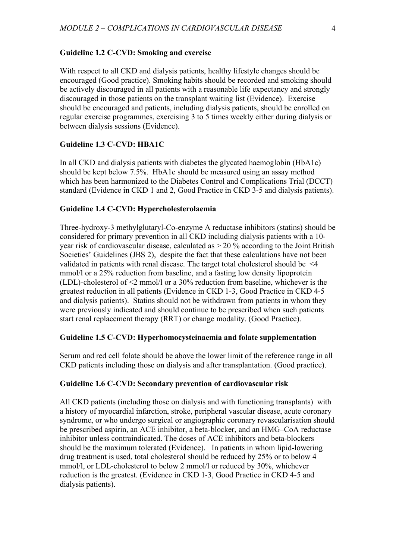#### **Guideline 1.2 C-CVD: Smoking and exercise**

With respect to all CKD and dialysis patients, healthy lifestyle changes should be encouraged (Good practice). Smoking habits should be recorded and smoking should be actively discouraged in all patients with a reasonable life expectancy and strongly discouraged in those patients on the transplant waiting list (Evidence). Exercise should be encouraged and patients, including dialysis patients, should be enrolled on regular exercise programmes, exercising 3 to 5 times weekly either during dialysis or between dialysis sessions (Evidence).

# **Guideline 1.3 C-CVD: HBA1C**

In all CKD and dialysis patients with diabetes the glycated haemoglobin (HbA1c) should be kept below 7.5%. HbA1c should be measured using an assay method which has been harmonized to the Diabetes Control and Complications Trial (DCCT) standard (Evidence in CKD 1 and 2, Good Practice in CKD 3-5 and dialysis patients).

# **Guideline 1.4 C-CVD: Hypercholesterolaemia**

Three-hydroxy-3 methylglutaryl-Co-enzyme A reductase inhibitors (statins) should be considered for primary prevention in all CKD including dialysis patients with a 10 year risk of cardiovascular disease, calculated as  $> 20\%$  according to the Joint British Societies' Guidelines (JBS 2), despite the fact that these calculations have not been validated in patients with renal disease. The target total cholesterol should be <4 mmol/l or a 25% reduction from baseline, and a fasting low density lipoprotein (LDL)-cholesterol of <2 mmol/l or a 30% reduction from baseline, whichever is the greatest reduction in all patients (Evidence in CKD 1-3, Good Practice in CKD 4-5 and dialysis patients). Statins should not be withdrawn from patients in whom they were previously indicated and should continue to be prescribed when such patients start renal replacement therapy (RRT) or change modality. (Good Practice).

# **Guideline 1.5 C-CVD: Hyperhomocysteinaemia and folate supplementation**

Serum and red cell folate should be above the lower limit of the reference range in all CKD patients including those on dialysis and after transplantation. (Good practice).

#### **Guideline 1.6 C-CVD: Secondary prevention of cardiovascular risk**

All CKD patients (including those on dialysis and with functioning transplants) with a history of myocardial infarction, stroke, peripheral vascular disease, acute coronary syndrome, or who undergo surgical or angiographic coronary revascularisation should be prescribed aspirin, an ACE inhibitor, a beta-blocker, and an HMG–CoA reductase inhibitor unless contraindicated. The doses of ACE inhibitors and beta-blockers should be the maximum tolerated (Evidence). In patients in whom lipid-lowering drug treatment is used, total cholesterol should be reduced by 25% or to below 4 mmol/l, or LDL-cholesterol to below 2 mmol/l or reduced by 30%, whichever reduction is the greatest. (Evidence in CKD 1-3, Good Practice in CKD 4-5 and dialysis patients).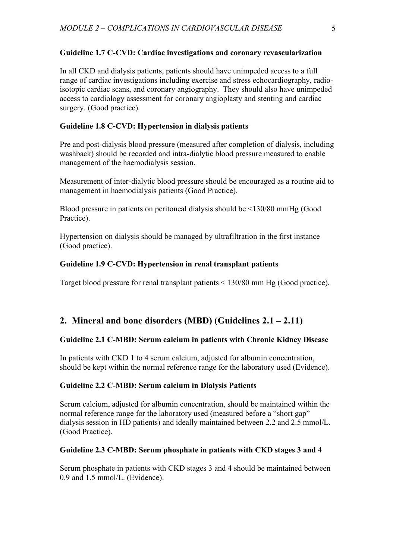# **Guideline 1.7 C-CVD: Cardiac investigations and coronary revascularization**

In all CKD and dialysis patients, patients should have unimpeded access to a full range of cardiac investigations including exercise and stress echocardiography, radioisotopic cardiac scans, and coronary angiography. They should also have unimpeded access to cardiology assessment for coronary angioplasty and stenting and cardiac surgery. (Good practice).

# **Guideline 1.8 C-CVD: Hypertension in dialysis patients**

Pre and post-dialysis blood pressure (measured after completion of dialysis, including washback) should be recorded and intra-dialytic blood pressure measured to enable management of the haemodialysis session.

Measurement of inter-dialytic blood pressure should be encouraged as a routine aid to management in haemodialysis patients (Good Practice).

Blood pressure in patients on peritoneal dialysis should be <130/80 mmHg (Good Practice).

Hypertension on dialysis should be managed by ultrafiltration in the first instance (Good practice).

# **Guideline 1.9 C-CVD: Hypertension in renal transplant patients**

Target blood pressure for renal transplant patients < 130/80 mm Hg (Good practice).

# **2. Mineral and bone disorders (MBD) (Guidelines 2.1 – 2.11)**

# **Guideline 2.1 C-MBD: Serum calcium in patients with Chronic Kidney Disease**

In patients with CKD 1 to 4 serum calcium, adjusted for albumin concentration, should be kept within the normal reference range for the laboratory used (Evidence).

# **Guideline 2.2 C-MBD: Serum calcium in Dialysis Patients**

Serum calcium, adjusted for albumin concentration, should be maintained within the normal reference range for the laboratory used (measured before a "short gap" dialysis session in HD patients) and ideally maintained between 2.2 and 2.5 mmol/L. (Good Practice).

# **Guideline 2.3 C-MBD: Serum phosphate in patients with CKD stages 3 and 4**

Serum phosphate in patients with CKD stages 3 and 4 should be maintained between 0.9 and 1.5 mmol/L. (Evidence).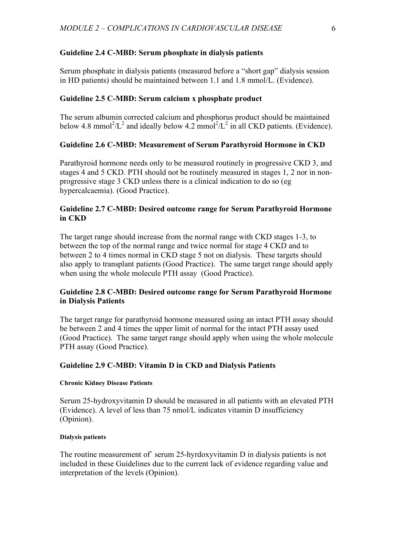# **Guideline 2.4 C-MBD: Serum phosphate in dialysis patients**

Serum phosphate in dialysis patients (measured before a "short gap" dialysis session in HD patients) should be maintained between 1.1 and 1.8 mmol/L. (Evidence).

# **Guideline 2.5 C-MBD: Serum calcium x phosphate product**

The serum albumin corrected calcium and phosphorus product should be maintained below 4.8 mmol<sup>2</sup>/L<sup>2</sup> and ideally below 4.2 mmol<sup>2</sup>/L<sup>2</sup> in all CKD patients. (Evidence).

# **Guideline 2.6 C-MBD: Measurement of Serum Parathyroid Hormone in CKD**

Parathyroid hormone needs only to be measured routinely in progressive CKD 3, and stages 4 and 5 CKD. PTH should not be routinely measured in stages 1, 2 nor in nonprogressive stage 3 CKD unless there is a clinical indication to do so (eg hypercalcaemia). (Good Practice).

# **Guideline 2.7 C-MBD: Desired outcome range for Serum Parathyroid Hormone in CKD**

The target range should increase from the normal range with CKD stages 1-3, to between the top of the normal range and twice normal for stage 4 CKD and to between 2 to 4 times normal in CKD stage 5 not on dialysis. These targets should also apply to transplant patients (Good Practice). The same target range should apply when using the whole molecule PTH assay (Good Practice).

# **Guideline 2.8 C-MBD: Desired outcome range for Serum Parathyroid Hormone in Dialysis Patients**

The target range for parathyroid hormone measured using an intact PTH assay should be between 2 and 4 times the upper limit of normal for the intact PTH assay used (Good Practice). The same target range should apply when using the whole molecule PTH assay (Good Practice).

# **Guideline 2.9 C-MBD: Vitamin D in CKD and Dialysis Patients**

#### **Chronic Kidney Disease Patients**

Serum 25-hydroxyvitamin D should be measured in all patients with an elevated PTH (Evidence). A level of less than 75 nmol/L indicates vitamin D insufficiency (Opinion).

#### **Dialysis patients**

The routine measurement of` serum 25-hyrdoxyvitamin D in dialysis patients is not included in these Guidelines due to the current lack of evidence regarding value and interpretation of the levels (Opinion).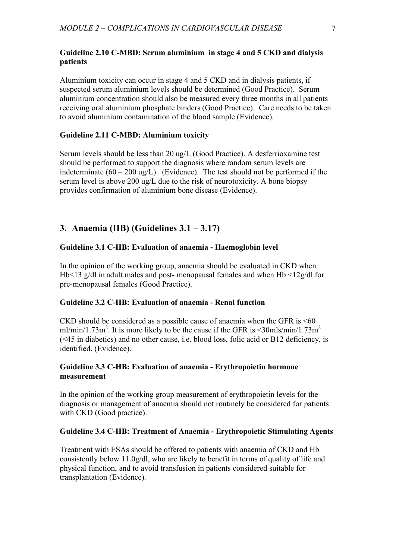# **Guideline 2.10 C-MBD: Serum aluminium in stage 4 and 5 CKD and dialysis patients**

Aluminium toxicity can occur in stage 4 and 5 CKD and in dialysis patients, if suspected serum aluminium levels should be determined (Good Practice). Serum aluminium concentration should also be measured every three months in all patients receiving oral aluminium phosphate binders (Good Practice). Care needs to be taken to avoid aluminium contamination of the blood sample (Evidence).

# **Guideline 2.11 C-MBD: Aluminium toxicity**

Serum levels should be less than 20 ug/L (Good Practice). A desferrioxamine test should be performed to support the diagnosis where random serum levels are indeterminate  $(60 - 200 \text{ ug/L})$ . (Evidence). The test should not be performed if the serum level is above 200 ug/L due to the risk of neurotoxicity. A bone biopsy provides confirmation of aluminium bone disease (Evidence).

# **3. Anaemia (HB) (Guidelines 3.1 – 3.17)**

#### **Guideline 3.1 C-HB: Evaluation of anaemia - Haemoglobin level**

In the opinion of the working group, anaemia should be evaluated in CKD when Hb<13 g/dl in adult males and post- menopausal females and when Hb <12g/dl for pre-menopausal females (Good Practice).

### **Guideline 3.2 C-HB: Evaluation of anaemia - Renal function**

CKD should be considered as a possible cause of anaemia when the GFR is <60 ml/min/1.73m<sup>2</sup>. It is more likely to be the cause if the GFR is  $\leq$ 30mls/min/1.73m<sup>2</sup> (<45 in diabetics) and no other cause, i.e. blood loss, folic acid or B12 deficiency, is identified. (Evidence).

# **Guideline 3.3 C-HB: Evaluation of anaemia - Erythropoietin hormone measurement**

In the opinion of the working group measurement of erythropoietin levels for the diagnosis or management of anaemia should not routinely be considered for patients with CKD (Good practice).

### **Guideline 3.4 C-HB: Treatment of Anaemia - Erythropoietic Stimulating Agents**

Treatment with ESAs should be offered to patients with anaemia of CKD and Hb consistently below 11.0g/dl, who are likely to benefit in terms of quality of life and physical function, and to avoid transfusion in patients considered suitable for transplantation (Evidence).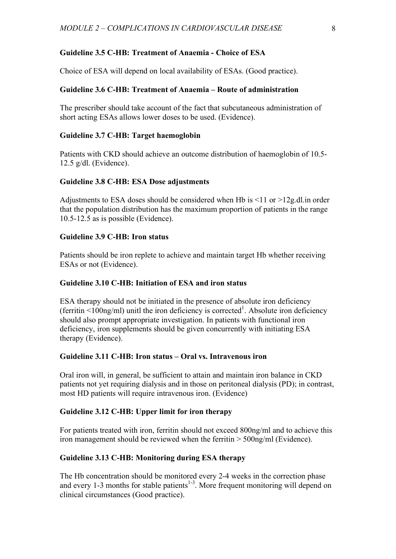### **Guideline 3.5 C-HB: Treatment of Anaemia - Choice of ESA**

Choice of ESA will depend on local availability of ESAs. (Good practice).

### **Guideline 3.6 C-HB: Treatment of Anaemia – Route of administration**

The prescriber should take account of the fact that subcutaneous administration of short acting ESAs allows lower doses to be used. (Evidence).

#### **Guideline 3.7 C-HB: Target haemoglobin**

Patients with CKD should achieve an outcome distribution of haemoglobin of 10.5- 12.5 g/dl. (Evidence).

#### **Guideline 3.8 C-HB: ESA Dose adjustments**

Adjustments to ESA doses should be considered when Hb is  $\leq 11$  or  $\geq 12$  g.dl. in order that the population distribution has the maximum proportion of patients in the range 10.5-12.5 as is possible (Evidence).

# **Guideline 3.9 C-HB: Iron status**

Patients should be iron replete to achieve and maintain target Hb whether receiving ESAs or not (Evidence).

# **Guideline 3.10 C-HB: Initiation of ESA and iron status**

ESA therapy should not be initiated in the presence of absolute iron deficiency (ferritin  $\leq 100$ ng/ml) unitl the iron deficiency is corrected<sup>1</sup>. Absolute iron deficiency should also prompt appropriate investigation. In patients with functional iron deficiency, iron supplements should be given concurrently with initiating ESA therapy (Evidence).

#### **Guideline 3.11 C-HB: Iron status – Oral vs. Intravenous iron**

Oral iron will, in general, be sufficient to attain and maintain iron balance in CKD patients not yet requiring dialysis and in those on peritoneal dialysis (PD); in contrast, most HD patients will require intravenous iron. (Evidence)

### **Guideline 3.12 C-HB: Upper limit for iron therapy**

For patients treated with iron, ferritin should not exceed 800ng/ml and to achieve this iron management should be reviewed when the ferritin > 500ng/ml (Evidence).

### **Guideline 3.13 C-HB: Monitoring during ESA therapy**

The Hb concentration should be monitored every 2-4 weeks in the correction phase and every 1-3 months for stable patients $1-3$ . More frequent monitoring will depend on clinical circumstances (Good practice).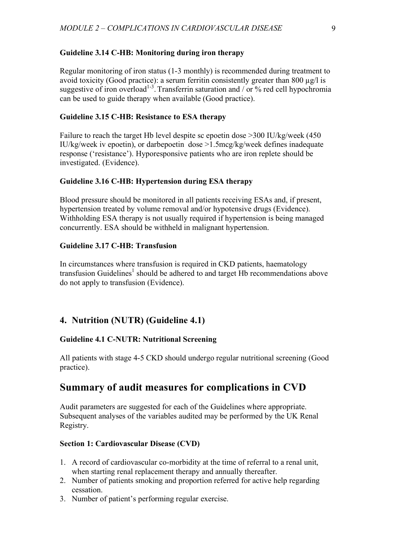# **Guideline 3.14 C-HB: Monitoring during iron therapy**

Regular monitoring of iron status (1-3 monthly) is recommended during treatment to avoid toxicity (Good practice): a serum ferritin consistently greater than 800  $\mu$ g/l is suggestive of iron overload<sup>1-3</sup>. Transferrin saturation and / or % red cell hypochromia can be used to guide therapy when available (Good practice).

# **Guideline 3.15 C-HB: Resistance to ESA therapy**

Failure to reach the target Hb level despite sc epoetin dose >300 IU/kg/week (450 IU/kg/week iv epoetin), or darbepoetin dose >1.5mcg/kg/week defines inadequate response ('resistance'). Hyporesponsive patients who are iron replete should be investigated. (Evidence).

### **Guideline 3.16 C-HB: Hypertension during ESA therapy**

Blood pressure should be monitored in all patients receiving ESAs and, if present, hypertension treated by volume removal and/or hypotensive drugs (Evidence). Withholding ESA therapy is not usually required if hypertension is being managed concurrently. ESA should be withheld in malignant hypertension.

# **Guideline 3.17 C-HB: Transfusion**

In circumstances where transfusion is required in CKD patients, haematology transfusion Guidelines<sup>1</sup> should be adhered to and target Hb recommendations above do not apply to transfusion (Evidence).

# **4. Nutrition (NUTR) (Guideline 4.1)**

# **Guideline 4.1 C-NUTR: Nutritional Screening**

All patients with stage 4-5 CKD should undergo regular nutritional screening (Good practice).

# **Summary of audit measures for complications in CVD**

Audit parameters are suggested for each of the Guidelines where appropriate. Subsequent analyses of the variables audited may be performed by the UK Renal Registry.

#### **Section 1: Cardiovascular Disease (CVD)**

- 1. A record of cardiovascular co-morbidity at the time of referral to a renal unit, when starting renal replacement therapy and annually thereafter.
- 2. Number of patients smoking and proportion referred for active help regarding cessation.
- 3. Number of patient's performing regular exercise.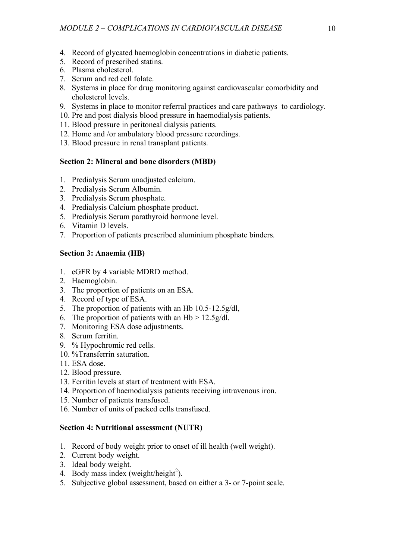- 4. Record of glycated haemoglobin concentrations in diabetic patients.
- 5. Record of prescribed statins.
- 6. Plasma cholesterol.
- 7. Serum and red cell folate.
- 8. Systems in place for drug monitoring against cardiovascular comorbidity and cholesterol levels.
- 9. Systems in place to monitor referral practices and care pathways to cardiology.
- 10. Pre and post dialysis blood pressure in haemodialysis patients.
- 11. Blood pressure in peritoneal dialysis patients.
- 12. Home and /or ambulatory blood pressure recordings.
- 13. Blood pressure in renal transplant patients.

# **Section 2: Mineral and bone disorders (MBD)**

- 1. Predialysis Serum unadjusted calcium.
- 2. Predialysis Serum Albumin.
- 3. Predialysis Serum phosphate.
- 4. Predialysis Calcium phosphate product.
- 5. Predialysis Serum parathyroid hormone level.
- 6. Vitamin D levels.
- 7. Proportion of patients prescribed aluminium phosphate binders.

# **Section 3: Anaemia (HB)**

- 1. eGFR by 4 variable MDRD method.
- 2. Haemoglobin.
- 3. The proportion of patients on an ESA.
- 4. Record of type of ESA.
- 5. The proportion of patients with an Hb 10.5-12.5g/dl,
- 6. The proportion of patients with an  $Hb > 12.5g/dl$ .
- 7. Monitoring ESA dose adjustments.
- 8. Serum ferritin.
- 9. % Hypochromic red cells.
- 10. %Transferrin saturation.
- 11. ESA dose.
- 12. Blood pressure.
- 13. Ferritin levels at start of treatment with ESA.
- 14. Proportion of haemodialysis patients receiving intravenous iron.
- 15. Number of patients transfused.
- 16. Number of units of packed cells transfused.

# **Section 4: Nutritional assessment (NUTR)**

- 1. Record of body weight prior to onset of ill health (well weight).
- 2. Current body weight.
- 3. Ideal body weight.
- 4. Body mass index (weight/height<sup>2</sup>).
- 5. Subjective global assessment, based on either a 3- or 7-point scale.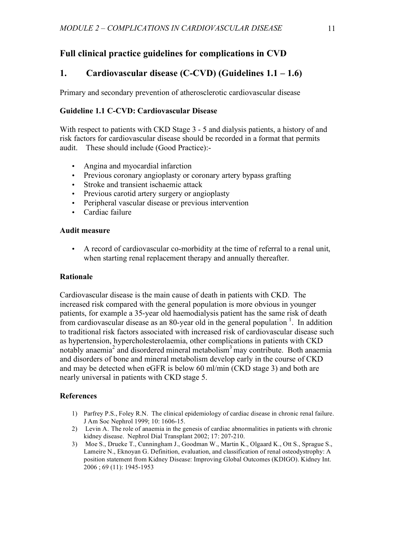# **Full clinical practice guidelines for complications in CVD**

# **1. Cardiovascular disease (C-CVD) (Guidelines 1.1 – 1.6)**

Primary and secondary prevention of atherosclerotic cardiovascular disease

# **Guideline 1.1 C-CVD: Cardiovascular Disease**

With respect to patients with CKD Stage 3 - 5 and dialysis patients, a history of and risk factors for cardiovascular disease should be recorded in a format that permits audit. These should include (Good Practice):-

- Angina and myocardial infarction
- Previous coronary angioplasty or coronary artery bypass grafting
- Stroke and transient ischaemic attack
- Previous carotid artery surgery or angioplasty
- Peripheral vascular disease or previous intervention
- Cardiac failure

### **Audit measure**

• A record of cardiovascular co-morbidity at the time of referral to a renal unit, when starting renal replacement therapy and annually thereafter.

# **Rationale**

Cardiovascular disease is the main cause of death in patients with CKD. The increased risk compared with the general population is more obvious in younger patients, for example a 35-year old haemodialysis patient has the same risk of death from cardiovascular disease as an 80-year old in the general population  $\frac{1}{1}$ . In addition to traditional risk factors associated with increased risk of cardiovascular disease such as hypertension, hypercholesterolaemia, other complications in patients with CKD notably anaemia<sup>2</sup> and disordered mineral metabolism<sup>3</sup> may contribute. Both anaemia and disorders of bone and mineral metabolism develop early in the course of CKD and may be detected when eGFR is below 60 ml/min (CKD stage 3) and both are nearly universal in patients with CKD stage 5.

# **References**

- 1) Parfrey P.S., Foley R.N. The clinical epidemiology of cardiac disease in chronic renal failure. J Am Soc Nephrol 1999; 10: 1606-15.
- 2) Levin A. The role of anaemia in the genesis of cardiac abnormalities in patients with chronic kidney disease. Nephrol Dial Transplant 2002; 17: 207-210.
- 3) Moe S., Drueke T., Cunningham J., Goodman W., Martin K., Olgaard K., Ott S., Sprague S., Lameire N., Eknoyan G. Definition, evaluation, and classification of renal osteodystrophy: A position statement from Kidney Disease: Improving Global Outcomes (KDIGO). Kidney Int. 2006 ; 69 (11): 1945-1953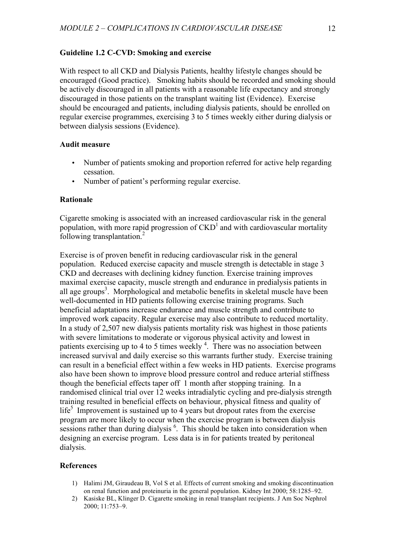#### **Guideline 1.2 C-CVD: Smoking and exercise**

With respect to all CKD and Dialysis Patients, healthy lifestyle changes should be encouraged (Good practice). Smoking habits should be recorded and smoking should be actively discouraged in all patients with a reasonable life expectancy and strongly discouraged in those patients on the transplant waiting list (Evidence). Exercise should be encouraged and patients, including dialysis patients, should be enrolled on regular exercise programmes, exercising 3 to 5 times weekly either during dialysis or between dialysis sessions (Evidence).

### **Audit measure**

- Number of patients smoking and proportion referred for active help regarding cessation.
- Number of patient's performing regular exercise.

#### **Rationale**

Cigarette smoking is associated with an increased cardiovascular risk in the general population, with more rapid progression of  $\text{CKD}^{1}$  and with cardiovascular mortality following transplantation.<sup>2</sup>

Exercise is of proven benefit in reducing cardiovascular risk in the general population. Reduced exercise capacity and muscle strength is detectable in stage 3 CKD and decreases with declining kidney function. Exercise training improves maximal exercise capacity, muscle strength and endurance in predialysis patients in all age groups<sup>3</sup>. Morphological and metabolic benefits in skeletal muscle have been well-documented in HD patients following exercise training programs. Such beneficial adaptations increase endurance and muscle strength and contribute to improved work capacity. Regular exercise may also contribute to reduced mortality. In a study of 2,507 new dialysis patients mortality risk was highest in those patients with severe limitations to moderate or vigorous physical activity and lowest in patients exercising up to 4 to 5 times weekly<sup>4</sup>. There was no association between increased survival and daily exercise so this warrants further study. Exercise training can result in a beneficial effect within a few weeks in HD patients. Exercise programs also have been shown to improve blood pressure control and reduce arterial stiffness though the beneficial effects taper off 1 month after stopping training. In a randomised clinical trial over 12 weeks intradialytic cycling and pre-dialysis strength training resulted in beneficial effects on behaviour, physical fitness and quality of life<sup>5</sup> Improvement is sustained up to 4 years but dropout rates from the exercise program are more likely to occur when the exercise program is between dialysis sessions rather than during dialysis <sup>6</sup>. This should be taken into consideration when designing an exercise program. Less data is in for patients treated by peritoneal dialysis.

#### **References**

- 1) Halimi JM, Giraudeau B, Vol S et al. Effects of current smoking and smoking discontinuation on renal function and proteinuria in the general population. Kidney Int 2000; 58:1285–92.
- 2) Kasiske BL, Klinger D. Cigarette smoking in renal transplant recipients. J Am Soc Nephrol 2000; 11:753–9.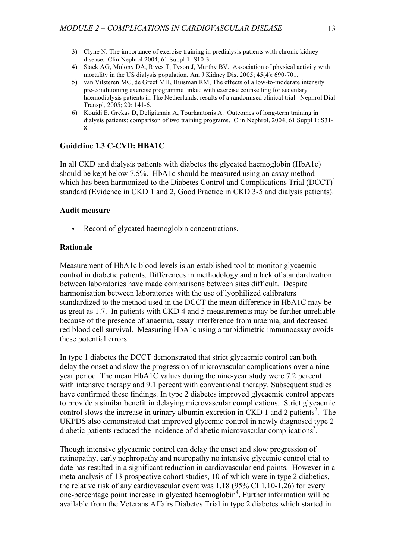- 3) Clyne N. The importance of exercise training in predialysis patients with chronic kidney disease. Clin Nephrol 2004; 61 Suppl 1: S10-3.
- 4) Stack AG, Molony DA, Rives T, Tyson J, Murthy BV. Association of physical activity with mortality in the US dialysis population. Am J Kidney Dis. 2005; 45(4): 690-701.
- 5) van Vilsteren MC, de Greef MH, Huisman RM, The effects of a low-to-moderate intensity pre-conditioning exercise programme linked with exercise counselling for sedentary haemodialysis patients in The Netherlands: results of a randomised clinical trial. Nephrol Dial Transpl*,* 2005; 20: 141-6.
- 6) Kouidi E, Grekas D, Deligiannia A, Tourkantonis A. Outcomes of long-term training in dialysis patients: comparison of two training programs. Clin Nephrol, 2004; 61 Suppl 1: S31- 8.

### **Guideline 1.3 C-CVD: HBA1C**

In all CKD and dialysis patients with diabetes the glycated haemoglobin (HbA1c) should be kept below 7.5%. HbA1c should be measured using an assay method which has been harmonized to the Diabetes Control and Complications Trial (DCCT)<sup>1</sup> standard (Evidence in CKD 1 and 2, Good Practice in CKD 3-5 and dialysis patients).

#### **Audit measure**

Record of glycated haemoglobin concentrations.

#### **Rationale**

Measurement of HbA1c blood levels is an established tool to monitor glycaemic control in diabetic patients. Differences in methodology and a lack of standardization between laboratories have made comparisons between sites difficult. Despite harmonisation between laboratories with the use of lyophilized calibrators standardized to the method used in the DCCT the mean difference in HbA1C may be as great as 1.7. In patients with CKD 4 and 5 measurements may be further unreliable because of the presence of anaemia, assay interference from uraemia, and decreased red blood cell survival. Measuring HbA1c using a turbidimetric immunoassay avoids these potential errors.

In type 1 diabetes the DCCT demonstrated that strict glycaemic control can both delay the onset and slow the progression of microvascular complications over a nine year period. The mean HbA1C values during the nine-year study were 7.2 percent with intensive therapy and 9.1 percent with conventional therapy. Subsequent studies have confirmed these findings. In type 2 diabetes improved glycaemic control appears to provide a similar benefit in delaying microvascular complications. Strict glycaemic control slows the increase in urinary albumin excretion in CKD 1 and 2 patients<sup>2</sup>. The UKPDS also demonstrated that improved glycemic control in newly diagnosed type 2 diabetic patients reduced the incidence of diabetic microvascular complications<sup>3</sup>.

Though intensive glycaemic control can delay the onset and slow progression of retinopathy, early nephropathy and neuropathy no intensive glycemic control trial to date has resulted in a significant reduction in cardiovascular end points. However in a meta-analysis of 13 prospective cohort studies, 10 of which were in type 2 diabetics, the relative risk of any cardiovascular event was 1.18 (95% CI 1.10-1.26) for every one-percentage point increase in glycated haemoglobin 4 . Further information will be available from the Veterans Affairs Diabetes Trial in type 2 diabetes which started in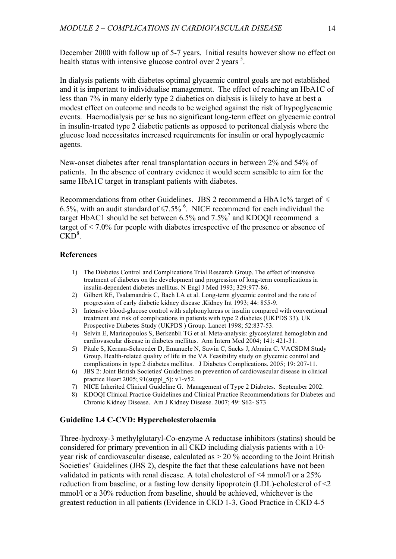December 2000 with follow up of 5-7 years. Initial results however show no effect on health status with intensive glucose control over 2 years  $<sup>5</sup>$ .</sup>

In dialysis patients with diabetes optimal glycaemic control goals are not established and it is important to individualise management. The effect of reaching an HbA1C of less than 7% in many elderly type 2 diabetics on dialysis is likely to have at best a modest effect on outcome and needs to be weighed against the risk of hypoglycaemic events. Haemodialysis per se has no significant long-term effect on glycaemic control in insulin-treated type 2 diabetic patients as opposed to peritoneal dialysis where the glucose load necessitates increased requirements for insulin or oral hypoglycaemic agents.

New-onset diabetes after renal transplantation occurs in between 2% and 54% of patients. In the absence of contrary evidence it would seem sensible to aim for the same HbA1C target in transplant patients with diabetes.

Recommendations from other Guidelines. JBS 2 recommend a HbA1c% target of  $\leq$ 6.5%, with an audit standard of  $\leq 7.5\%$ <sup>6</sup>. NICE recommend for each individual the target HbAC1 should be set between  $6.5\%$  and  $7.5\%$ <sup>7</sup> and KDOOI recommend a target of < 7.0% for people with diabetes irrespective of the presence or absence of  $\widetilde{\mathrm{CKD}}^8$ .

### **References**

- 1) The Diabetes Control and Complications Trial Research Group. The effect of intensive treatment of diabetes on the development and progression of long-term complications in insulin-dependent diabetes mellitus. N Engl J Med 1993; 329:977-86.
- 2) Gilbert RE, Tsalamandris C, Bach LA et al. Long-term glycemic control and the rate of progression of early diabetic kidney disease .Kidney Int 1993; 44: 855-9.
- 3) Intensive blood-glucose control with sulphonylureas or insulin compared with conventional treatment and risk of complications in patients with type 2 diabetes (UKPDS 33). UK Prospective Diabetes Study (UKPDS ) Group. Lancet 1998; 52:837-53.
- 4) Selvin E, Marinopoulos S, Berkenbli TG et al. Meta-analysis: glycosylated hemoglobin and cardiovascular disease in diabetes mellitus. Ann Intern Med 2004; 141: 421-31.
- 5) Pitale S, Kernan-Schroeder D, Emanuele N, Sawin C, Sacks J, Abraira C. VACSDM Study Group. Health-related quality of life in the VA Feasibility study on glycemic control and complications in type 2 diabetes mellitus. J Diabetes Complications. 2005; 19: 207-11.
- 6) JBS 2: Joint British Societies' Guidelines on prevention of cardiovascular disease in clinical practice Heart 2005; 91(suppl\_5): v1-v52.
- 7) NICE Inherited Clinical Guideline G. Management of Type 2 Diabetes. September 2002.
- 8) KDOQI Clinical Practice Guidelines and Clinical Practice Recommendations for Diabetes and Chronic Kidney Disease. Am J Kidney Disease. 2007; 49: S62- S73

#### **Guideline 1.4 C-CVD: Hypercholesterolaemia**

Three-hydroxy-3 methylglutaryl-Co-enzyme A reductase inhibitors (statins) should be considered for primary prevention in all CKD including dialysis patients with a 10 year risk of cardiovascular disease, calculated as > 20 % according to the Joint British Societies' Guidelines (JBS 2), despite the fact that these calculations have not been validated in patients with renal disease. A total cholesterol of <4 mmol/l or a 25% reduction from baseline, or a fasting low density lipoprotein (LDL)-cholesterol of <2 mmol/l or a 30% reduction from baseline, should be achieved, whichever is the greatest reduction in all patients (Evidence in CKD 1-3, Good Practice in CKD 4-5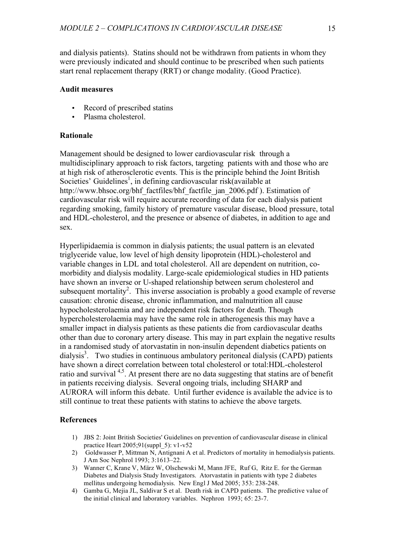and dialysis patients). Statins should not be withdrawn from patients in whom they were previously indicated and should continue to be prescribed when such patients start renal replacement therapy (RRT) or change modality. (Good Practice).

### **Audit measures**

- Record of prescribed statins
- Plasma cholesterol.

# **Rationale**

Management should be designed to lower cardiovascular risk through a multidisciplinary approach to risk factors, targeting patients with and those who are at high risk of atherosclerotic events. This is the principle behind the Joint British Societies' Guidelines<sup>1</sup>, in defining cardiovascular risk(available at http://www.bhsoc.org/bhf\_factfiles/bhf\_factfile\_jan\_2006.pdf ). Estimation of cardiovascular risk will require accurate recording of data for each dialysis patient regarding smoking, family history of premature vascular disease, blood pressure, total and HDL-cholesterol, and the presence or absence of diabetes, in addition to age and sex.

Hyperlipidaemia is common in dialysis patients; the usual pattern is an elevated triglyceride value, low level of high density lipoprotein (HDL)-cholesterol and variable changes in LDL and total cholesterol. All are dependent on nutrition, comorbidity and dialysis modality. Large-scale epidemiological studies in HD patients have shown an inverse or U-shaped relationship between serum cholesterol and subsequent mortality<sup>2</sup>. This inverse association is probably a good example of reverse causation: chronic disease, chronic inflammation, and malnutrition all cause hypocholesterolaemia and are independent risk factors for death. Though hypercholesterolaemia may have the same role in atherogenesis this may have a smaller impact in dialysis patients as these patients die from cardiovascular deaths other than due to coronary artery disease. This may in part explain the negative results in a randomised study of atorvastatin in non-insulin dependent diabetics patients on dialysis 3 . Two studies in continuous ambulatory peritoneal dialysis (CAPD) patients have shown a direct correlation between total cholesterol or total:HDL-cholesterol ratio and survival <sup>4,5</sup>. At present there are no data suggesting that statins are of benefit in patients receiving dialysis. Several ongoing trials, including SHARP and AURORA will inform this debate. Until further evidence is available the advice is to still continue to treat these patients with statins to achieve the above targets.

# **References**

- 1) JBS 2: Joint British Societies' Guidelines on prevention of cardiovascular disease in clinical practice Heart 2005;91(suppl\_5): v1-v52
- 2) Goldwasser P, Mittman N, Antignani A et al. Predictors of mortality in hemodialysis patients. J Am Soc Nephrol 1993; 3:1613–22.
- 3) Wanner C, Krane V, März W, Olschewski M, Mann JFE, Ruf G, Ritz E. for the German Diabetes and Dialysis Study Investigators. Atorvastatin in patients with type 2 diabetes mellitus undergoing hemodialysis. New Engl J Med 2005; 353: 238-248.
- 4) Gamba G, Mejia JL, Saldivar S et al. Death risk in CAPD patients. The predictive value of the initial clinical and laboratory variables. Nephron 1993; 65: 23-7.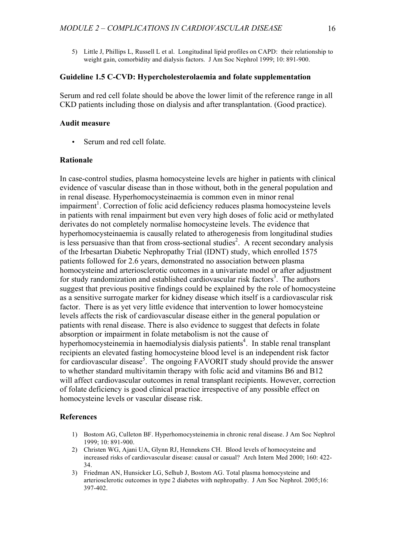5) Little J, Phillips L, Russell L et al. Longitudinal lipid profiles on CAPD: their relationship to weight gain, comorbidity and dialysis factors. J Am Soc Nephrol 1999; 10: 891-900.

# **Guideline 1.5 C-CVD: Hypercholesterolaemia and folate supplementation**

Serum and red cell folate should be above the lower limit of the reference range in all CKD patients including those on dialysis and after transplantation. (Good practice).

#### **Audit measure**

Serum and red cell folate.

# **Rationale**

In case-control studies, plasma homocysteine levels are higher in patients with clinical evidence of vascular disease than in those without, both in the general population and in renal disease. Hyperhomocysteinaemia is common even in minor renal impairment<sup>1</sup>. Correction of folic acid deficiency reduces plasma homocysteine levels in patients with renal impairment but even very high doses of folic acid or methylated derivates do not completely normalise homocysteine levels. The evidence that hyperhomocysteinaemia is causally related to atherogenesis from longitudinal studies is less persuasive than that from cross-sectional studies<sup>2</sup>. A recent secondary analysis of the Irbesartan Diabetic Nephropathy Trial (IDNT) study, which enrolled 1575 patients followed for 2.6 years, demonstrated no association between plasma homocysteine and arteriosclerotic outcomes in a univariate model or after adjustment for study randomization and established cardiovascular risk factors<sup>3</sup>. The authors suggest that previous positive findings could be explained by the role of homocysteine as a sensitive surrogate marker for kidney disease which itself is a cardiovascular risk factor. There is as yet very little evidence that intervention to lower homocysteine levels affects the risk of cardiovascular disease either in the general population or patients with renal disease. There is also evidence to suggest that defects in folate absorption or impairment in folate metabolism is not the cause of hyperhomocysteinemia in haemodialysis dialysis patients 4 . In stable renal transplant recipients an elevated fasting homocysteine blood level is an independent risk factor for cardiovascular disease<sup>5</sup>. The ongoing FAVORIT study should provide the answer to whether standard multivitamin therapy with folic acid and vitamins B6 and B12 will affect cardiovascular outcomes in renal transplant recipients. However, correction of folate deficiency is good clinical practice irrespective of any possible effect on homocysteine levels or vascular disease risk.

#### **References**

- 1) Bostom AG, Culleton BF. Hyperhomocysteinemia in chronic renal disease. J Am Soc Nephrol 1999; 10: 891-900.
- 2) Christen WG, Ajani UA, Glynn RJ, Hennekens CH. Blood levels of homocysteine and increased risks of cardiovascular disease: causal or casual? Arch Intern Med 2000; 160: 422- 34.
- 3) Friedman AN, Hunsicker LG, Selhub J, Bostom AG. Total plasma homocysteine and arteriosclerotic outcomes in type 2 diabetes with nephropathy. J Am Soc Nephrol. 2005;16: 397-402.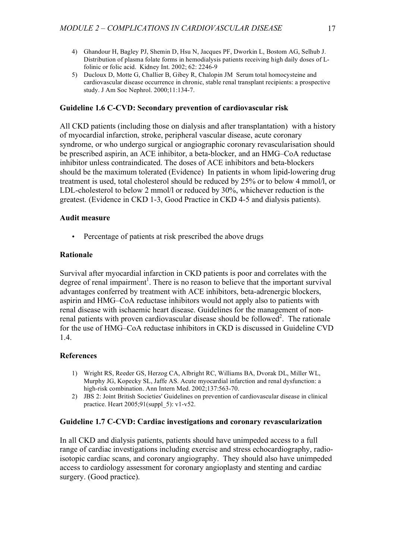- 4) Ghandour H, Bagley PJ, Shemin D, Hsu N, Jacques PF, Dworkin L, Bostom AG, Selhub J. Distribution of plasma folate forms in hemodialysis patients receiving high daily doses of Lfolinic or folic acid. Kidney Int. 2002; 62: 2246-9
- 5) Ducloux D, Motte G, Challier B, Gibey R, Chalopin JM Serum total homocysteine and cardiovascular disease occurrence in chronic, stable renal transplant recipients: a prospective study. J Am Soc Nephrol. 2000;11:134-7.

#### **Guideline 1.6 C-CVD: Secondary prevention of cardiovascular risk**

All CKD patients (including those on dialysis and after transplantation) with a history of myocardial infarction, stroke, peripheral vascular disease, acute coronary syndrome, or who undergo surgical or angiographic coronary revascularisation should be prescribed aspirin, an ACE inhibitor, a beta-blocker, and an HMG–CoA reductase inhibitor unless contraindicated. The doses of ACE inhibitors and beta-blockers should be the maximum tolerated (Evidence) In patients in whom lipid-lowering drug treatment is used, total cholesterol should be reduced by 25% or to below 4 mmol/l, or LDL-cholesterol to below 2 mmol/l or reduced by 30%, whichever reduction is the greatest. (Evidence in CKD 1-3, Good Practice in CKD 4-5 and dialysis patients).

#### **Audit measure**

• Percentage of patients at risk prescribed the above drugs

### **Rationale**

Survival after myocardial infarction in CKD patients is poor and correlates with the degree of renal impairment<sup>1</sup>. There is no reason to believe that the important survival advantages conferred by treatment with ACE inhibitors, beta-adrenergic blockers, aspirin and HMG–CoA reductase inhibitors would not apply also to patients with renal disease with ischaemic heart disease. Guidelines for the management of nonrenal patients with proven cardiovascular disease should be followed<sup>2</sup>. The rationale for the use of HMG–CoA reductase inhibitors in CKD is discussed in Guideline CVD 1.4.

#### **References**

- 1) Wright RS, Reeder GS, Herzog CA, Albright RC, Williams BA, Dvorak DL, Miller WL, Murphy JG, Kopecky SL, Jaffe AS. Acute myocardial infarction and renal dysfunction: a high-risk combination. Ann Intern Med. 2002;137:563-70.
- 2) JBS 2: Joint British Societies' Guidelines on prevention of cardiovascular disease in clinical practice. Heart  $2005:91$ (suppl  $5$ ): v1-v52.

#### **Guideline 1.7 C-CVD: Cardiac investigations and coronary revascularization**

In all CKD and dialysis patients, patients should have unimpeded access to a full range of cardiac investigations including exercise and stress echocardiography, radioisotopic cardiac scans, and coronary angiography. They should also have unimpeded access to cardiology assessment for coronary angioplasty and stenting and cardiac surgery. (Good practice).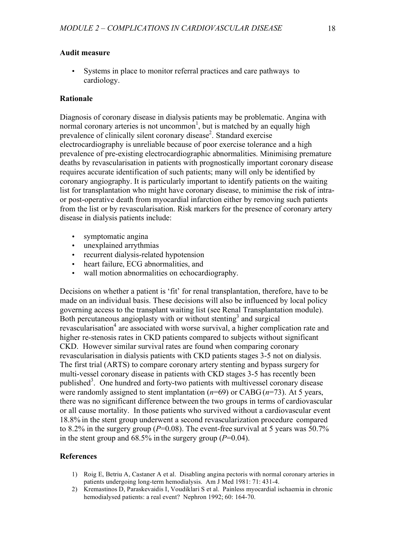### **Audit measure**

Systems in place to monitor referral practices and care pathways to cardiology.

#### **Rationale**

Diagnosis of coronary disease in dialysis patients may be problematic. Angina with normal coronary arteries is not uncommon<sup>1</sup>, but is matched by an equally high prevalence of clinically silent coronary disease<sup>2</sup>. Standard exercise electrocardiography is unreliable because of poor exercise tolerance and a high prevalence of pre-existing electrocardiographic abnormalities. Minimising premature deaths by revascularisation in patients with prognostically important coronary disease requires accurate identification of such patients; many will only be identified by coronary angiography. It is particularly important to identify patients on the waiting list for transplantation who might have coronary disease, to minimise the risk of intraor post-operative death from myocardial infarction either by removing such patients from the list or by revascularisation. Risk markers for the presence of coronary artery disease in dialysis patients include:

- symptomatic angina
- unexplained arrythmias
- recurrent dialysis-related hypotension
- heart failure, ECG abnormalities, and
- wall motion abnormalities on echocardiography.

Decisions on whether a patient is 'fit' for renal transplantation, therefore, have to be made on an individual basis. These decisions will also be influenced by local policy governing access to the transplant waiting list (see Renal Transplantation module). Both percutaneous angioplasty with or without stenting<sup>3</sup> and surgical revascularisation<sup>4</sup> are associated with worse survival, a higher complication rate and higher re-stenosis rates in CKD patients compared to subjects without significant CKD. However similar survival rates are found when comparing coronary revascularisation in dialysis patients with CKD patients stages 3-5 not on dialysis. The first trial (ARTS) to compare coronary artery stenting and bypass surgery for multi-vessel coronary disease in patients with CKD stages 3-5 has recently been published<sup>3</sup>. One hundred and forty-two patients with multivessel coronary disease were randomly assigned to stent implantation (*n*=69) or CABG (*n*=73). At 5 years, there was no significant difference between the two groups in terms of cardiovascular or all cause mortality. In those patients who survived without a cardiovascular event 18.8% in the stent group underwent a second revascularization procedure compared to 8.2% in the surgery group (*P*=0.08). The event-free survival at 5 years was 50.7% in the stent group and  $68.5\%$  in the surgery group ( $P=0.04$ ).

### **References**

- 1) Roig E, Betriu A, Castaner A et al. Disabling angina pectoris with normal coronary arteries in patients undergoing long-term hemodialysis. Am J Med 1981: 71: 431-4.
- 2) Kremastinos D, Paraskevaidis I, Voudiklari S et al. Painless myocardial ischaemia in chronic hemodialysed patients: a real event? Nephron 1992; 60: 164-70.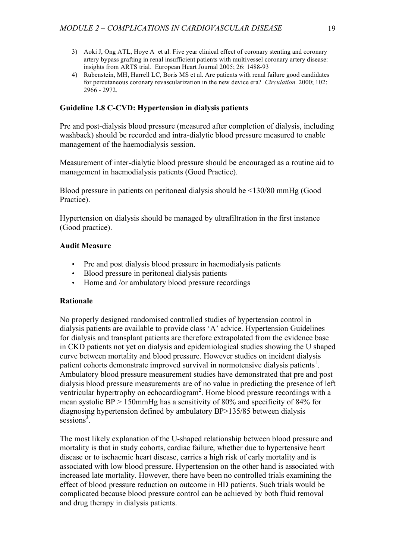- 3) Aoki J, Ong ATL, Hoye A et al. Five year clinical effect of coronary stenting and coronary artery bypass grafting in renal insufficient patients with multivessel coronary artery disease: insights from ARTS trial. European Heart Journal 2005; 26: 1488-93
- 4) Rubenstein, MH, Harrell LC, Boris MS et al. Are patients with renal failure good candidates for percutaneous coronary revascularization in the new device era? *Circulation.* 2000; 102: 2966 - 2972.

### **Guideline 1.8 C-CVD: Hypertension in dialysis patients**

Pre and post-dialysis blood pressure (measured after completion of dialysis, including washback) should be recorded and intra-dialytic blood pressure measured to enable management of the haemodialysis session.

Measurement of inter-dialytic blood pressure should be encouraged as a routine aid to management in haemodialysis patients (Good Practice).

Blood pressure in patients on peritoneal dialysis should be <130/80 mmHg (Good Practice).

Hypertension on dialysis should be managed by ultrafiltration in the first instance (Good practice).

#### **Audit Measure**

- Pre and post dialysis blood pressure in haemodialysis patients
- Blood pressure in peritoneal dialysis patients
- Home and /or ambulatory blood pressure recordings

### **Rationale**

No properly designed randomised controlled studies of hypertension control in dialysis patients are available to provide class 'A' advice. Hypertension Guidelines for dialysis and transplant patients are therefore extrapolated from the evidence base in CKD patients not yet on dialysis and epidemiological studies showing the U shaped curve between mortality and blood pressure. However studies on incident dialysis patient cohorts demonstrate improved survival in normotensive dialysis patients<sup>1</sup>. Ambulatory blood pressure measurement studies have demonstrated that pre and post dialysis blood pressure measurements are of no value in predicting the presence of left ventricular hypertrophy on echocardiogram<sup>2</sup>. Home blood pressure recordings with a mean systolic BP > 150mmHg has a sensitivity of 80% and specificity of 84% for diagnosing hypertension defined by ambulatory BP>135/85 between dialysis  $s$ essions<sup>3</sup>.

The most likely explanation of the U-shaped relationship between blood pressure and mortality is that in study cohorts, cardiac failure, whether due to hypertensive heart disease or to ischaemic heart disease, carries a high risk of early mortality and is associated with low blood pressure. Hypertension on the other hand is associated with increased late mortality. However, there have been no controlled trials examining the effect of blood pressure reduction on outcome in HD patients. Such trials would be complicated because blood pressure control can be achieved by both fluid removal and drug therapy in dialysis patients.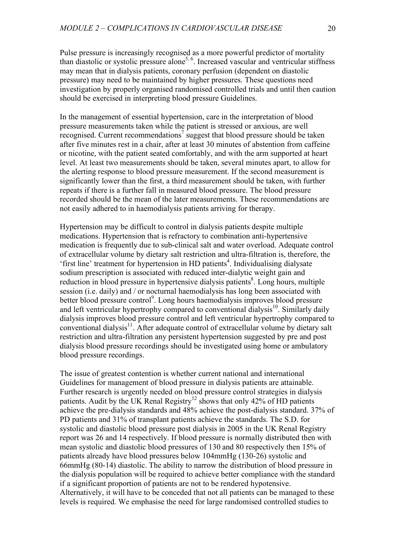Pulse pressure is increasingly recognised as a more powerful predictor of mortality than diastolic or systolic pressure alone<sup>5, 6</sup>. Increased vascular and ventricular stiffness may mean that in dialysis patients, coronary perfusion (dependent on diastolic pressure) may need to be maintained by higher pressures. These questions need investigation by properly organised randomised controlled trials and until then caution should be exercised in interpreting blood pressure Guidelines.

In the management of essential hypertension, care in the interpretation of blood pressure measurements taken while the patient is stressed or anxious, are well recognised. Current recommendations<sup>7</sup> suggest that blood pressure should be taken after five minutes rest in a chair, after at least 30 minutes of abstention from caffeine or nicotine, with the patient seated comfortably, and with the arm supported at heart level. At least two measurements should be taken, several minutes apart, to allow for the alerting response to blood pressure measurement. If the second measurement is significantly lower than the first, a third measurement should be taken, with further repeats if there is a further fall in measured blood pressure. The blood pressure recorded should be the mean of the later measurements. These recommendations are not easily adhered to in haemodialysis patients arriving for therapy.

Hypertension may be difficult to control in dialysis patients despite multiple medications. Hypertension that is refractory to combination anti-hypertensive medication is frequently due to sub-clinical salt and water overload. Adequate control of extracellular volume by dietary salt restriction and ultra-filtration is, therefore, the 'first line' treatment for hypertension in HD patients<sup>4</sup>. Individualising dialysate sodium prescription is associated with reduced inter-dialytic weight gain and reduction in blood pressure in hypertensive dialysis patients<sup>8</sup>. Long hours, multiple session (i.e. daily) and / or nocturnal haemodialysis has long been associated with better blood pressure control<sup>9</sup>. Long hours haemodialysis improves blood pressure and left ventricular hypertrophy compared to conventional dialysis<sup>10</sup>. Similarly daily dialysis improves blood pressure control and left ventricular hypertrophy compared to conventional dialysis<sup>11</sup>. After adequate control of extracellular volume by dietary salt restriction and ultra-filtration any persistent hypertension suggested by pre and post dialysis blood pressure recordings should be investigated using home or ambulatory blood pressure recordings.

The issue of greatest contention is whether current national and international Guidelines for management of blood pressure in dialysis patients are attainable. Further research is urgently needed on blood pressure control strategies in dialysis patients. Audit by the UK Renal Registry<sup>12</sup> shows that only 42% of HD patients achieve the pre-dialysis standards and 48% achieve the post-dialysis standard. 37% of PD patients and 31% of transplant patients achieve the standards. The S.D. for systolic and diastolic blood pressure post dialysis in 2005 in the UK Renal Registry report was 26 and 14 respectively. If blood pressure is normally distributed then with mean systolic and diastolic blood pressures of 130 and 80 respectively then 15% of patients already have blood pressures below 104mmHg (130-26) systolic and 66mmHg (80-14) diastolic. The ability to narrow the distribution of blood pressure in the dialysis population will be required to achieve better compliance with the standard if a significant proportion of patients are not to be rendered hypotensive. Alternatively, it will have to be conceded that not all patients can be managed to these levels is required. We emphasise the need for large randomised controlled studies to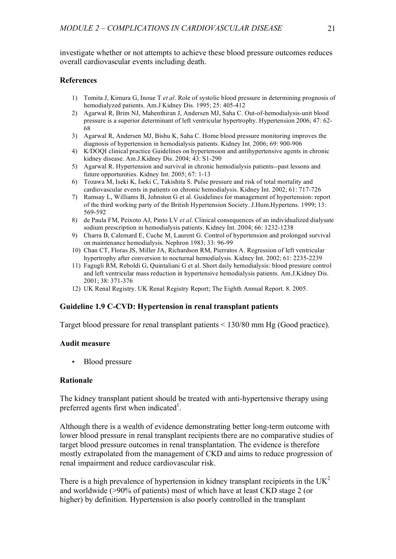investigate whether or not attempts to achieve these blood pressure outcomes reduces overall cardiovascular events including death.

### **References**

- 1) Tomita J, Kimura G, Inoue T *et al*. Role of systolic blood pressure in determining prognosis of hemodialyzed patients. Am.J Kidney Dis. 1995; 25: 405-412
- 2) Agarwal R, Brim NJ, Mahenthiran J, Andersen MJ, Saha C. Out-of-hemodialysis-unit blood pressure is a superior determinant of left ventricular hypertrophy. Hypertension 2006; 47: 62- 68
- 3) Agarwal R, Andersen MJ, Bishu K, Saha C. Home blood pressure monitoring improves the diagnosis of hypertension in hemodialysis patients. Kidney Int. 2006; 69: 900-906
- 4) K/DOQI clinical practice Guidelines on hypertension and antihypertensive agents in chronic kidney disease. Am.J.Kidney Dis. 2004; 43: S1-290
- 5) Agarwal R. Hypertension and survival in chronic hemodialysis patients--past lessons and future opportunities. Kidney Int. 2005; 67: 1-13
- 6) Tozawa M, Iseki K, Iseki C, Takishita S. Pulse pressure and risk of total mortality and cardiovascular events in patients on chronic hemodialysis. Kidney Int. 2002; 61: 717-726
- 7) Ramsay L, Williams B, Johnston G et al. Guidelines for management of hypertension: report of the third working party of the British Hypertension Society. J.Hum.Hypertens. 1999; 13: 569-592
- 8) de Paula FM, Peixoto AJ, Pinto LV *et al*. Clinical consequences of an individualized dialysate sodium prescription in hemodialysis patients. Kidney Int. 2004; 66: 1232-1238
- 9) Charra B, Calemard E, Cuche M, Laurent G. Control of hypertension and prolonged survival on maintenance hemodialysis. Nephron 1983; 33: 96-99
- 10) Chan CT, Floras JS, Miller JA, Richardson RM, Pierratos A. Regression of left ventricular hypertrophy after conversion to nocturnal hemodialysis. Kidney Int. 2002; 61: 2235-2239
- 11) Fagugli RM, Reboldi G, Quintaliani G et al. Short daily hemodialysis: blood pressure control and left ventricular mass reduction in hypertensive hemodialysis patients. Am.J.Kidney Dis. 2001; 38: 371-376
- 12) UK Renal Registry. UK Renal Registry Report; The Eighth Annual Report. 8. 2005.

# **Guideline 1.9 C-CVD: Hypertension in renal transplant patients**

Target blood pressure for renal transplant patients < 130/80 mm Hg (Good practice).

### **Audit measure**

• Blood pressure

#### **Rationale**

The kidney transplant patient should be treated with anti-hypertensive therapy using preferred agents first when indicated<sup>1</sup>.

Although there is a wealth of evidence demonstrating better long-term outcome with lower blood pressure in renal transplant recipients there are no comparative studies of target blood pressure outcomes in renal transplantation. The evidence is therefore mostly extrapolated from the management of CKD and aims to reduce progression of renal impairment and reduce cardiovascular risk.

There is a high prevalence of hypertension in kidney transplant recipients in the  $UK<sup>2</sup>$ and worldwide (>90% of patients) most of which have at least CKD stage 2 (or higher) by definition. Hypertension is also poorly controlled in the transplant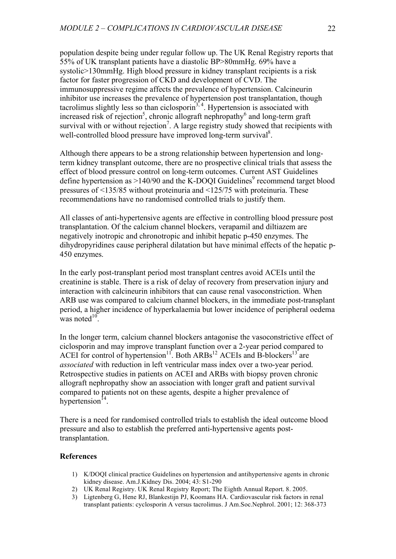population despite being under regular follow up. The UK Renal Registry reports that 55% of UK transplant patients have a diastolic BP>80mmHg. 69% have a systolic>130mmHg. High blood pressure in kidney transplant recipients is a risk factor for faster progression of CKD and development of CVD. The immunosuppressive regime affects the prevalence of hypertension. Calcineurin inhibitor use increases the prevalence of hypertension post transplantation, though tacrolimus slightly less so than ciclosporin<sup>3, 4</sup>. Hypertension is associated with increased risk of rejection<sup>5</sup>, chronic allograft nephropathy<sup>6</sup> and long-term graft survival with or without rejection<sup>7</sup>. A large registry study showed that recipients with well-controlled blood pressure have improved long-term survival<sup>8</sup>.

Although there appears to be a strong relationship between hypertension and longterm kidney transplant outcome, there are no prospective clinical trials that assess the effect of blood pressure control on long-term outcomes. Current AST Guidelines define hypertension as  $>140/90$  and the K-DOQI Guidelines<sup>9</sup> recommend target blood pressures of <135/85 without proteinuria and <125/75 with proteinuria. These recommendations have no randomised controlled trials to justify them.

All classes of anti-hypertensive agents are effective in controlling blood pressure post transplantation. Of the calcium channel blockers, verapamil and diltiazem are negatively inotropic and chronotropic and inhibit hepatic p-450 enzymes. The dihydropyridines cause peripheral dilatation but have minimal effects of the hepatic p-450 enzymes.

In the early post-transplant period most transplant centres avoid ACEIs until the creatinine is stable. There is a risk of delay of recovery from preservation injury and interaction with calcineurin inhibitors that can cause renal vasoconstriction. When ARB use was compared to calcium channel blockers, in the immediate post-transplant period, a higher incidence of hyperkalaemia but lower incidence of peripheral oedema was noted $10$ .

In the longer term, calcium channel blockers antagonise the vasoconstrictive effect of ciclosporin and may improve transplant function over a 2-year period compared to ACEI for control of hypertension<sup>11</sup>. Both ARBs<sup>12</sup> ACEIs and B-blockers<sup>13</sup> are *associated* with reduction in left ventricular mass index over a two-year period. Retrospective studies in patients on ACEI and ARBs with biopsy proven chronic allograft nephropathy show an association with longer graft and patient survival compared to patients not on these agents, despite a higher prevalence of hypertension<sup>14</sup>.

There is a need for randomised controlled trials to establish the ideal outcome blood pressure and also to establish the preferred anti-hypertensive agents posttransplantation.

### **References**

- 1) K/DOQI clinical practice Guidelines on hypertension and antihypertensive agents in chronic kidney disease. Am.J.Kidney Dis. 2004; 43: S1-290
- 2) UK Renal Registry. UK Renal Registry Report; The Eighth Annual Report. 8. 2005.
- 3) Ligtenberg G, Hene RJ, Blankestijn PJ, Koomans HA. Cardiovascular risk factors in renal transplant patients: cyclosporin A versus tacrolimus. J Am.Soc.Nephrol. 2001; 12: 368-373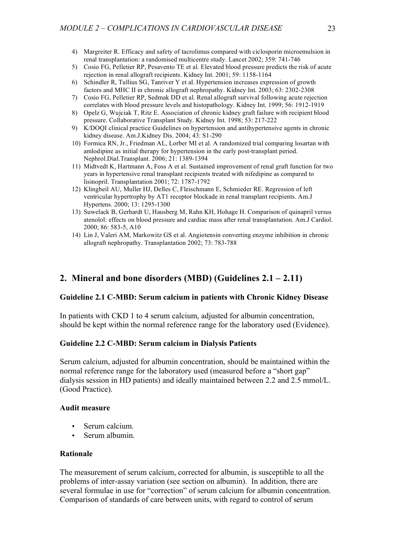- 4) Margreiter R. Efficacy and safety of tacrolimus compared with ciclosporin microemulsion in renal transplantation: a randomised multicentre study. Lancet 2002; 359: 741-746
- 5) Cosio FG, Pelletier RP, Pesavento TE et al. Elevated blood pressure predicts the risk of acute rejection in renal allograft recipients. Kidney Int. 2001; 59: 1158-1164
- 6) Schindler R, Tullius SG, Tanriver Y et al. Hypertension increases expression of growth factors and MHC II in chronic allograft nephropathy. Kidney Int. 2003; 63: 2302-2308
- 7) Cosio FG, Pelletier RP, Sedmak DD et al. Renal allograft survival following acute rejection correlates with blood pressure levels and histopathology. Kidney Int. 1999; 56: 1912-1919
- 8) Opelz G, Wujciak T, Ritz E. Association of chronic kidney graft failure with recipient blood pressure. Collaborative Transplant Study. Kidney Int. 1998; 53: 217-222
- 9) K/DOQI clinical practice Guidelines on hypertension and antihypertensive agents in chronic kidney disease. Am.J.Kidney Dis. 2004; 43: S1-290
- 10) Formica RN, Jr., Friedman AL, Lorber MI et al. A randomized trial comparing losartan with amlodipine as initial therapy for hypertension in the early post-transplant period. Nephrol.Dial.Transplant. 2006; 21: 1389-1394
- 11) Midtvedt K, Hartmann A, Foss A et al. Sustained improvement of renal graft function for two years in hypertensive renal transplant recipients treated with nifedipine as compared to lisinopril. Transplantation 2001; 72: 1787-1792
- 12) Klingbeil AU, Muller HJ, Delles C, Fleischmann E, Schmieder RE. Regression of left ventricular hypertrophy by AT1 receptor blockade in renal transplant recipients. Am.J Hypertens. 2000; 13: 1295-1300
- 13) Suwelack B, Gerhardt U, Hausberg M, Rahn KH, Hohage H. Comparison of quinapril versus atenolol: effects on blood pressure and cardiac mass after renal transplantation. Am.J Cardiol. 2000; 86: 583-5, A10
- 14) Lin J, Valeri AM, Markowitz GS et al. Angiotensin converting enzyme inhibition in chronic allograft nephropathy. Transplantation 2002; 73: 783-788

# **2. Mineral and bone disorders (MBD) (Guidelines 2.1 – 2.11)**

#### **Guideline 2.1 C-MBD: Serum calcium in patients with Chronic Kidney Disease**

In patients with CKD 1 to 4 serum calcium, adjusted for albumin concentration, should be kept within the normal reference range for the laboratory used (Evidence).

### **Guideline 2.2 C-MBD: Serum calcium in Dialysis Patients**

Serum calcium, adjusted for albumin concentration, should be maintained within the normal reference range for the laboratory used (measured before a "short gap" dialysis session in HD patients) and ideally maintained between 2.2 and 2.5 mmol/L. (Good Practice).

#### **Audit measure**

- Serum calcium.
- Serum albumin.

# **Rationale**

The measurement of serum calcium, corrected for albumin, is susceptible to all the problems of inter-assay variation (see section on albumin). In addition, there are several formulae in use for "correction" of serum calcium for albumin concentration. Comparison of standards of care between units, with regard to control of serum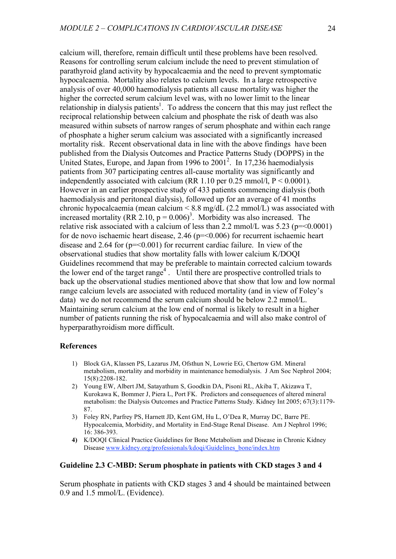calcium will, therefore, remain difficult until these problems have been resolved. Reasons for controlling serum calcium include the need to prevent stimulation of parathyroid gland activity by hypocalcaemia and the need to prevent symptomatic hypocalcaemia. Mortality also relates to calcium levels. In a large retrospective analysis of over 40,000 haemodialysis patients all cause mortality was higher the higher the corrected serum calcium level was, with no lower limit to the linear relationship in dialysis patients<sup>1</sup>. To address the concern that this may just reflect the reciprocal relationship between calcium and phosphate the risk of death was also measured within subsets of narrow ranges of serum phosphate and within each range of phosphate a higher serum calcium was associated with a significantly increased mortality risk. Recent observational data in line with the above findings have been published from the Dialysis Outcomes and Practice Patterns Study (DOPPS) in the United States, Europe, and Japan from 1996 to 2001<sup>2</sup>. In 17,236 haemodialysis patients from 307 participating centres all-cause mortality was significantly and independently associated with calcium (RR 1.10 per 0.25 mmol/l,  $P < 0.0001$ ). However in an earlier prospective study of 433 patients commencing dialysis (both haemodialysis and peritoneal dialysis), followed up for an average of 41 months chronic hypocalcaemia (mean calcium  $\leq 8.8$  mg/dL (2.2 mmol/L) was associated with increased mortality (RR 2.10,  $p = 0.006$ )<sup>3</sup>. Morbidity was also increased. The relative risk associated with a calcium of less than 2.2 mmol/L was  $5.23$  ( $p = 0.0001$ ) for de novo ischaemic heart disease, 2.46 (p=<0.006) for recurrent ischaemic heart disease and 2.64 for  $(p = 0.001)$  for recurrent cardiac failure. In view of the observational studies that show mortality falls with lower calcium K/DOQI Guidelines recommend that may be preferable to maintain corrected calcium towards the lower end of the target range<sup>4</sup>. Until there are prospective controlled trials to back up the observational studies mentioned above that show that low and low normal range calcium levels are associated with reduced mortality (and in view of Foley's data) we do not recommend the serum calcium should be below 2.2 mmol/L. Maintaining serum calcium at the low end of normal is likely to result in a higher number of patients running the risk of hypocalcaemia and will also make control of hyperparathyroidism more difficult.

#### **References**

- 1) Block GA, Klassen PS, Lazarus JM, Ofsthun N, Lowrie EG, Chertow GM. Mineral metabolism, mortality and morbidity in maintenance hemodialysis. J Am Soc Nephrol 2004; 15(8):2208-182.
- 2) Young EW, Albert JM, Satayathum S, Goodkin DA, Pisoni RL, Akiba T, Akizawa T, Kurokawa K, Bommer J, Piera L, Port FK. Predictors and consequences of altered mineral metabolism: the Dialysis Outcomes and Practice Patterns Study. Kidney Int 2005; 67(3):1179- 87.
- 3) Foley RN, Parfrey PS, Harnett JD, Kent GM, Hu L, O'Dea R, Murray DC, Barre PE. Hypocalcemia, Morbidity, and Mortality in End-Stage Renal Disease. Am J Nephrol 1996; 16: 386-393.
- **4)** K/DOQI Clinical Practice Guidelines for Bone Metabolism and Disease in Chronic Kidney Disease www.kidney.org/professionals/kdoqi/Guidelines\_bone/index.htm

### **Guideline 2.3 C-MBD: Serum phosphate in patients with CKD stages 3 and 4**

Serum phosphate in patients with CKD stages 3 and 4 should be maintained between 0.9 and 1.5 mmol/L. (Evidence).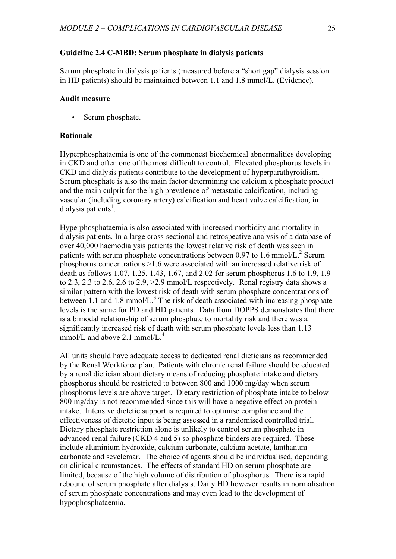### **Guideline 2.4 C-MBD: Serum phosphate in dialysis patients**

Serum phosphate in dialysis patients (measured before a "short gap" dialysis session in HD patients) should be maintained between 1.1 and 1.8 mmol/L. (Evidence).

# **Audit measure**

Serum phosphate.

### **Rationale**

Hyperphosphataemia is one of the commonest biochemical abnormalities developing in CKD and often one of the most difficult to control. Elevated phosphorus levels in CKD and dialysis patients contribute to the development of hyperparathyroidism. Serum phosphate is also the main factor determining the calcium x phosphate product and the main culprit for the high prevalence of metastatic calcification, including vascular (including coronary artery) calcification and heart valve calcification, in dialysis patients<sup>1</sup>.

Hyperphosphataemia is also associated with increased morbidity and mortality in dialysis patients. In a large cross-sectional and retrospective analysis of a database of over 40,000 haemodialysis patients the lowest relative risk of death was seen in patients with serum phosphate concentrations between 0.97 to 1.6 mmol/L.<sup>2</sup> Serum phosphorus concentrations >1.6 were associated with an increased relative risk of death as follows 1.07, 1.25, 1.43, 1.67, and 2.02 for serum phosphorus 1.6 to 1.9, 1.9 to 2.3, 2.3 to 2.6, 2.6 to 2.9, >2.9 mmol/L respectively. Renal registry data shows a similar pattern with the lowest risk of death with serum phosphate concentrations of between 1.1 and 1.8 mmol/L.<sup>3</sup> The risk of death associated with increasing phosphate levels is the same for PD and HD patients. Data from DOPPS demonstrates that there is a bimodal relationship of serum phosphate to mortality risk and there was a significantly increased risk of death with serum phosphate levels less than 1.13 mmol/L and above 2.1 mmol/L.<sup>4</sup>

All units should have adequate access to dedicated renal dieticians as recommended by the Renal Workforce plan. Patients with chronic renal failure should be educated by a renal dietician about dietary means of reducing phosphate intake and dietary phosphorus should be restricted to between 800 and 1000 mg/day when serum phosphorus levels are above target. Dietary restriction of phosphate intake to below 800 mg/day is not recommended since this will have a negative effect on protein intake. Intensive dietetic support is required to optimise compliance and the effectiveness of dietetic input is being assessed in a randomised controlled trial. Dietary phosphate restriction alone is unlikely to control serum phosphate in advanced renal failure (CKD 4 and 5) so phosphate binders are required. These include aluminium hydroxide, calcium carbonate, calcium acetate, lanthanum carbonate and sevelemar. The choice of agents should be individualised, depending on clinical circumstances. The effects of standard HD on serum phosphate are limited, because of the high volume of distribution of phosphorus. There is a rapid rebound of serum phosphate after dialysis. Daily HD however results in normalisation of serum phosphate concentrations and may even lead to the development of hypophosphataemia.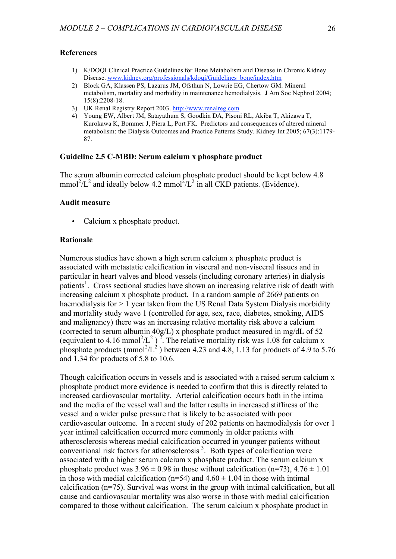### **References**

- 1) K/DOQI Clinical Practice Guidelines for Bone Metabolism and Disease in Chronic Kidney Disease. www.kidney.org/professionals/kdoqi/Guidelines\_bone/index.htm
- 2) Block GA, Klassen PS, Lazarus JM, Ofsthun N, Lowrie EG, Chertow GM. Mineral metabolism, mortality and morbidity in maintenance hemodialysis. J Am Soc Nephrol 2004; 15(8):2208-18.
- 3) UK Renal Registry Report 2003. http://www.renalreg.com
- 4) Young EW, Albert JM, Satayathum S, Goodkin DA, Pisoni RL, Akiba T, Akizawa T, Kurokawa K, Bommer J, Piera L, Port FK. Predictors and consequences of altered mineral metabolism: the Dialysis Outcomes and Practice Patterns Study. Kidney Int 2005; 67(3):1179- 87.

### **Guideline 2.5 C-MBD: Serum calcium x phosphate product**

The serum albumin corrected calcium phosphate product should be kept below 4.8 mmol<sup>2</sup>/L<sup>2</sup> and ideally below 4.2 mmol<sup>2</sup>/L<sup>2</sup> in all CKD patients. (Evidence).

#### **Audit measure**

Calcium x phosphate product.

#### **Rationale**

Numerous studies have shown a high serum calcium x phosphate product is associated with metastatic calcification in visceral and non-visceral tissues and in particular in heart valves and blood vessels (including coronary arteries) in dialysis patients<sup>1</sup>. Cross sectional studies have shown an increasing relative risk of death with increasing calcium x phosphate product. In a random sample of 2669 patients on haemodialysis for > 1 year taken from the US Renal Data System Dialysis morbidity and mortality study wave 1 (controlled for age, sex, race, diabetes, smoking, AIDS and malignancy) there was an increasing relative mortality risk above a calcium (corrected to serum albumin 40g/L) x phosphate product measured in mg/dL of 52 (equivalent to 4.16 mmol<sup>2</sup>/L<sup>2</sup>)<sup>2</sup>. The relative mortality risk was 1.08 for calcium x phosphate products (mmol<sup>2</sup>/L<sup>2</sup>) between 4.23 and 4.8, 1.13 for products of 4.9 to 5.76 and 1.34 for products of 5.8 to 10.6.

Though calcification occurs in vessels and is associated with a raised serum calcium x phosphate product more evidence is needed to confirm that this is directly related to increased cardiovascular mortality. Arterial calcification occurs both in the intima and the media of the vessel wall and the latter results in increased stiffness of the vessel and a wider pulse pressure that is likely to be associated with poor cardiovascular outcome. In a recent study of 202 patients on haemodialysis for over 1 year intimal calcification occurred more commonly in older patients with atherosclerosis whereas medial calcification occurred in younger patients without conventional risk factors for atherosclerosis<sup>3</sup>. Both types of calcification were associated with a higher serum calcium x phosphate product. The serum calcium x phosphate product was  $3.96 \pm 0.98$  in those without calcification (n=73),  $4.76 \pm 1.01$ in those with medial calcification ( $n=54$ ) and  $4.60 \pm 1.04$  in those with intimal calcification (n=75). Survival was worst in the group with intimal calcification, but all cause and cardiovascular mortality was also worse in those with medial calcification compared to those without calcification. The serum calcium x phosphate product in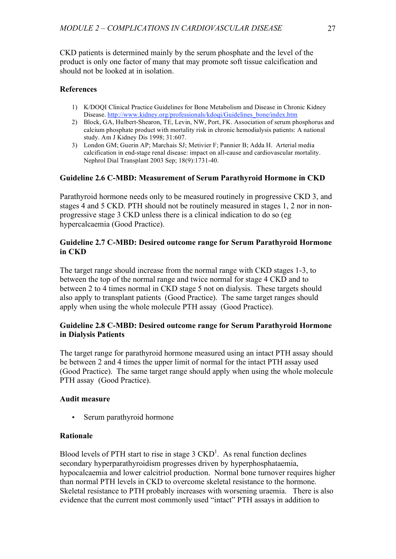CKD patients is determined mainly by the serum phosphate and the level of the product is only one factor of many that may promote soft tissue calcification and should not be looked at in isolation.

# **References**

- 1) K/DOQI Clinical Practice Guidelines for Bone Metabolism and Disease in Chronic Kidney Disease. http://www.kidney.org/professionals/kdoqi/Guidelines\_bone/index.htm
- 2) Block, GA, Hulbert-Shearon, TE, Levin, NW, Port, FK. Association of serum phosphorus and calcium phosphate product with mortality risk in chronic hemodialysis patients: A national study. Am J Kidney Dis 1998; 31:607.
- 3) London GM; Guerin AP; Marchais SJ; Metivier F; Pannier B; Adda H. Arterial media calcification in end-stage renal disease: impact on all-cause and cardiovascular mortality. Nephrol Dial Transplant 2003 Sep; 18(9):1731-40.

# **Guideline 2.6 C-MBD: Measurement of Serum Parathyroid Hormone in CKD**

Parathyroid hormone needs only to be measured routinely in progressive CKD 3, and stages 4 and 5 CKD. PTH should not be routinely measured in stages 1, 2 nor in nonprogressive stage 3 CKD unless there is a clinical indication to do so (eg hypercalcaemia (Good Practice).

# **Guideline 2.7 C-MBD: Desired outcome range for Serum Parathyroid Hormone in CKD**

The target range should increase from the normal range with CKD stages 1-3, to between the top of the normal range and twice normal for stage 4 CKD and to between 2 to 4 times normal in CKD stage 5 not on dialysis. These targets should also apply to transplant patients (Good Practice). The same target ranges should apply when using the whole molecule PTH assay (Good Practice).

# **Guideline 2.8 C-MBD: Desired outcome range for Serum Parathyroid Hormone in Dialysis Patients**

The target range for parathyroid hormone measured using an intact PTH assay should be between 2 and 4 times the upper limit of normal for the intact PTH assay used (Good Practice). The same target range should apply when using the whole molecule PTH assay (Good Practice).

# **Audit measure**

Serum parathyroid hormone

# **Rationale**

Blood levels of PTH start to rise in stage  $3 \text{ CKD}^1$ . As renal function declines secondary hyperparathyroidism progresses driven by hyperphosphataemia, hypocalcaemia and lower calcitriol production. Normal bone turnover requires higher than normal PTH levels in CKD to overcome skeletal resistance to the hormone. Skeletal resistance to PTH probably increases with worsening uraemia. There is also evidence that the current most commonly used "intact" PTH assays in addition to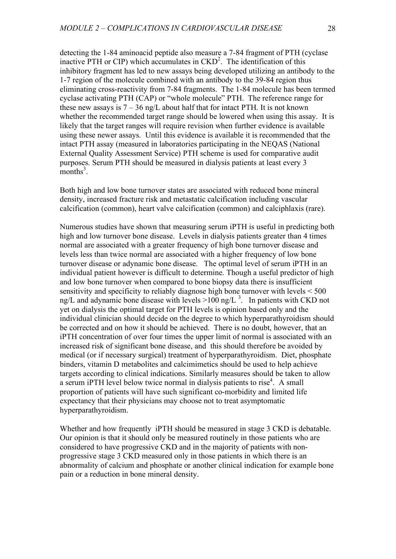detecting the 1-84 aminoacid peptide also measure a 7-84 fragment of PTH (cyclase inactive PTH or CIP) which accumulates in  $\text{CKD}^2$ . The identification of this inhibitory fragment has led to new assays being developed utilizing an antibody to the 1-7 region of the molecule combined with an antibody to the 39-84 region thus eliminating cross-reactivity from 7-84 fragments. The 1-84 molecule has been termed cyclase activating PTH (CAP) or "whole molecule" PTH. The reference range for these new assays is  $7 - 36$  ng/L about half that for intact PTH. It is not known whether the recommended target range should be lowered when using this assay. It is likely that the target ranges will require revision when further evidence is available using these newer assays. Until this evidence is available it is recommended that the intact PTH assay (measured in laboratories participating in the NEQAS (National External Quality Assessment Service) PTH scheme is used for comparative audit purposes. Serum PTH should be measured in dialysis patients at least every 3  $\frac{1}{2}$  months<sup>3</sup>.

Both high and low bone turnover states are associated with reduced bone mineral density, increased fracture risk and metastatic calcification including vascular calcification (common), heart valve calcification (common) and calciphlaxis (rare).

Numerous studies have shown that measuring serum iPTH is useful in predicting both high and low turnover bone disease. Levels in dialysis patients greater than 4 times normal are associated with a greater frequency of high bone turnover disease and levels less than twice normal are associated with a higher frequency of low bone turnover disease or adynamic bone disease. The optimal level of serum iPTH in an individual patient however is difficult to determine. Though a useful predictor of high and low bone turnover when compared to bone biopsy data there is insufficient sensitivity and specificity to reliably diagnose high bone turnover with levels < 500 ng/L and adynamic bone disease with levels  $>100$  ng/L <sup>3</sup>. In patients with CKD not yet on dialysis the optimal target for PTH levels is opinion based only and the individual clinician should decide on the degree to which hyperparathyroidism should be corrected and on how it should be achieved. There is no doubt, however, that an iPTH concentration of over four times the upper limit of normal is associated with an increased risk of significant bone disease, and this should therefore be avoided by medical (or if necessary surgical) treatment of hyperparathyroidism. Diet, phosphate binders, vitamin D metabolites and calcimimetics should be used to help achieve targets according to clinical indications. Similarly measures should be taken to allow a serum iPTH level below twice normal in dialysis patients to rise<sup>4</sup>. A small proportion of patients will have such significant co-morbidity and limited life expectancy that their physicians may choose not to treat asymptomatic hyperparathyroidism.

Whether and how frequently iPTH should be measured in stage 3 CKD is debatable. Our opinion is that it should only be measured routinely in those patients who are considered to have progressive CKD and in the majority of patients with nonprogressive stage 3 CKD measured only in those patients in which there is an abnormality of calcium and phosphate or another clinical indication for example bone pain or a reduction in bone mineral density.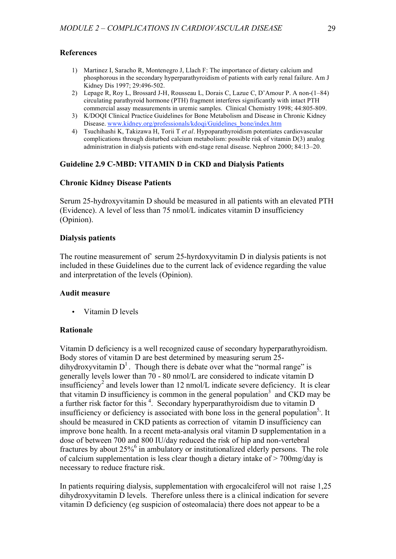# **References**

- 1) Martinez I, Saracho R, Montenegro J, Llach F: The importance of dietary calcium and phosphorous in the secondary hyperparathyroidism of patients with early renal failure. Am J Kidney Dis 1997; 29:496-502.
- 2) Lepage R, Roy L, Brossard J-H, Rousseau L, Dorais C, Lazue C, D'Amour P. A non-(1–84) circulating parathyroid hormone (PTH) fragment interferes significantly with intact PTH commercial assay measurements in uremic samples. Clinical Chemistry 1998; 44:805-809.
- 3) K/DOQI Clinical Practice Guidelines for Bone Metabolism and Disease in Chronic Kidney Disease. www.kidney.org/professionals/kdoqi/Guidelines\_bone/index.htm
- 4) Tsuchihashi K, Takizawa H, Torii T *et al*. Hypoparathyroidism potentiates cardiovascular complications through disturbed calcium metabolism: possible risk of vitamin D(3) analog administration in dialysis patients with end-stage renal disease. Nephron 2000; 84:13–20.

# **Guideline 2.9 C-MBD: VITAMIN D in CKD and Dialysis Patients**

# **Chronic Kidney Disease Patients**

Serum 25-hydroxyvitamin D should be measured in all patients with an elevated PTH (Evidence). A level of less than 75 nmol/L indicates vitamin D insufficiency (Opinion).

### **Dialysis patients**

The routine measurement of` serum 25-hyrdoxyvitamin D in dialysis patients is not included in these Guidelines due to the current lack of evidence regarding the value and interpretation of the levels (Opinion).

#### **Audit measure**

• Vitamin D levels

# **Rationale**

Vitamin D deficiency is a well recognized cause of secondary hyperparathyroidism. Body stores of vitamin D are best determined by measuring serum 25 dihydroxyvitamin  $D^1$ . Though there is debate over what the "normal range" is generally levels lower than 70 - 80 nmol/L are considered to indicate vitamin D  $\frac{1}{2}$  insufficiency<sup>2</sup> and levels lower than 12 nmol/L indicate severe deficiency. It is clear that vitamin D insufficiency is common in the general population<sup>3</sup> and CKD may be a further risk factor for this <sup>4</sup>. Secondary hyperparathyroidism due to vitamin D insufficiency or deficiency is associated with bone loss in the general population<sup>5</sup>. It should be measured in CKD patients as correction of vitamin D insufficiency can improve bone health. In a recent meta-analysis oral vitamin D supplementation in a dose of between 700 and 800 IU/day reduced the risk of hip and non-vertebral fractures by about  $25\%$ <sup>6</sup> in ambulatory or institutionalized elderly persons. The role of calcium supplementation is less clear though a dietary intake of > 700mg/day is necessary to reduce fracture risk.

In patients requiring dialysis, supplementation with ergocalciferol will not raise 1,25 dihydroxyvitamin D levels. Therefore unless there is a clinical indication for severe vitamin D deficiency (eg suspicion of osteomalacia) there does not appear to be a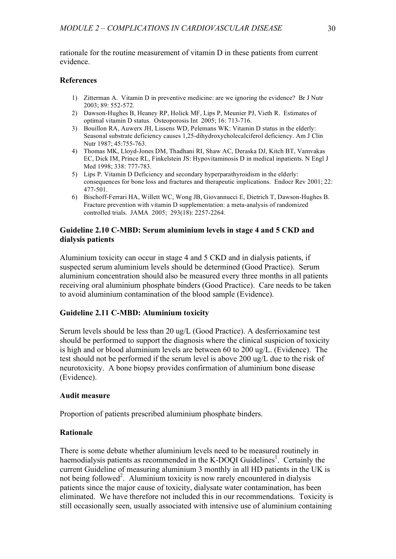rationale for the routine measurement of vitamin D in these patients from current evidence.

### **References**

- 1) Zitterman A. Vitamin D in preventive medicine: are we ignoring the evidence? Br J Nutr 2003; 89: 552-572.
- 2) Dawson-Hughes B, Heaney RP, Holick MF, Lips P, Meunier PJ, Vieth R. Estimates of optimal vitamin D status. Osteoporosis Int 2005; 16: 713-716.
- 3) Bouillon RA, Auwerx JH, Lissens WD, Pelemans WK: Vitamin D status in the elderly: Seasonal substrate deficiency causes 1,25-dihydroxycholecalciferol deficiency. Am J Clin Nutr 1987; 45:755-763.
- 4) Thomas MK, Lloyd-Jones DM, Thadhani RI, Shaw AC, Deraska DJ, Kitch BT, Vamvakas EC, Dick IM, Prince RL, Finkelstein JS: Hypovitaminosis D in medical inpatients. N Engl J Med 1998; 338: 777-783.
- 5) Lips P. Vitamin D Deficiency and secondary hyperparathyroidism in the elderly: consequences for bone loss and fractures and therapeutic implications. Endocr Rev 2001; 22: 477-501.
- 6) Bischoff-Ferrari HA, Willett WC, Wong JB, Giovannucci E, Dietrich T, Dawson-Hughes B. Fracture prevention with vitamin D supplementation: a meta-analysis of randomized controlled trials. JAMA 2005; 293(18): 2257-2264.

### **Guideline 2.10 C-MBD: Serum aluminium levels in stage 4 and 5 CKD and dialysis patients**

Aluminium toxicity can occur in stage 4 and 5 CKD and in dialysis patients, if suspected serum aluminium levels should be determined (Good Practice). Serum aluminium concentration should also be measured every three months in all patients receiving oral aluminium phosphate binders (Good Practice). Care needs to be taken to avoid aluminium contamination of the blood sample (Evidence).

# **Guideline 2.11 C-MBD: Aluminium toxicity**

Serum levels should be less than 20 ug/L (Good Practice). A desferrioxamine test should be performed to support the diagnosis where the clinical suspicion of toxicity is high and or blood aluminium levels are between 60 to 200 ug/L. (Evidence). The test should not be performed if the serum level is above 200 ug/L due to the risk of neurotoxicity. A bone biopsy provides confirmation of aluminium bone disease (Evidence).

### **Audit measure**

Proportion of patients prescribed aluminium phosphate binders.

### **Rationale**

There is some debate whether aluminium levels need to be measured routinely in haemodialysis patients as recommended in the K-DOQI Guidelines<sup>1</sup>. Certainly the current Guideline of measuring aluminium 3 monthly in all HD patients in the UK is not being followed<sup>2</sup>. Aluminium toxicity is now rarely encountered in dialysis patients since the major cause of toxicity, dialysate water contamination, has been eliminated. We have therefore not included this in our recommendations. Toxicity is still occasionally seen, usually associated with intensive use of aluminium containing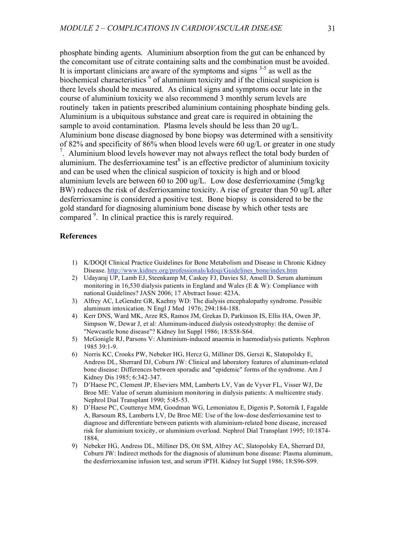phosphate binding agents. Aluminium absorption from the gut can be enhanced by the concomitant use of citrate containing salts and the combination must be avoided. It is important clinicians are aware of the symptoms and signs  $3-5$  as well as the biochemical characteristics <sup>6</sup> of aluminium toxicity and if the clinical suspicion is there levels should be measured. As clinical signs and symptoms occur late in the course of aluminium toxicity we also recommend 3 monthly serum levels are routinely taken in patients prescribed aluminium containing phosphate binding gels. Aluminium is a ubiquitous substance and great care is required in obtaining the sample to avoid contamination. Plasma levels should be less than 20 ug/L. Aluminium bone disease diagnosed by bone biopsy was determined with a sensitivity of 82% and specificity of 86% when blood levels were 60 ug/L or greater in one study <sup>7</sup>. Aluminium blood levels however may not always reflect the total body burden of aluminium. The desferrioxamine test<sup>8</sup> is an effective predictor of aluminium toxicity and can be used when the clinical suspicion of toxicity is high and or blood aluminium levels are between 60 to 200 ug/L. Low dose desferrioxamine (5mg/kg BW) reduces the risk of desferrioxamine toxicity. A rise of greater than 50 ug/L after desferrioxamine is considered a positive test. Bone biopsy is considered to be the gold standard for diagnosing aluminium bone disease by which other tests are compared <sup>9</sup>. In clinical practice this is rarely required.

### **References**

- 1) K/DOQI Clinical Practice Guidelines for Bone Metabolism and Disease in Chronic Kidney Disease. http://www.kidney.org/professionals/kdoqi/Guidelines\_bone/index.htm
- 2) Udayaraj UP, Lamb EJ, Steenkamp M, Caskey FJ, Davies SJ, Ansell D. Serum aluminum monitoring in 16,530 dialysis patients in England and Wales (E & W): Compliance with national Guidelines? JASN 2006; 17 Abstract Issue: 423A.
- 3) Alfrey AC, LeGendre GR, Kaehny WD: The dialysis encephalopathy syndrome. Possible aluminum intoxication. N Engl J Med 1976; 294:184-188.
- 4) Kerr DNS, Ward MK, Arze RS, Ramos JM, Grekas D, Parkinson IS, Ellis HA, Owen JP, Simpson W, Dewar J, et al: Aluminum-induced dialysis osteodystrophy: the demise of "Newcastle bone disease"? Kidney Int Suppl 1986; 18:S58-S64.
- 5) McGonigle RJ, Parsons V: Aluminium-induced anaemia in haemodialysis patients. Nephron 1985 39:1-9.
- 6) Norris KC, Crooks PW, Nebeker HG, Hercz G, Milliner DS, Gerszi K, Slatopolsky E, Andress DL, Sherrard DJ, Coburn JW: Clinical and laboratory features of aluminum-related bone disease: Differences between sporadic and "epidemic" forms of the syndrome. Am J Kidney Dis 1985; 6:342-347.
- 7) D'Haese PC, Clement JP, Elseviers MM, Lamberts LV, Van de Vyver FL, Visser WJ, De Broe ME: Value of serum aluminium monitoring in dialysis patients: A multicentre study. Nephrol Dial Transplant 1990; 5:45-53.
- 8) D'Haese PC, Couttenye MM, Goodman WG, Lemoniatou E, Digenis P, Sotornik I, Fagalde A, Barsoum RS, Lamberts LV, De Broe ME: Use of the low-dose desferrioxamine test to diagnose and differentiate between patients with aluminium-related bone disease, increased risk for aluminium toxicity, or aluminium overload. Nephrol Dial Transplant 1995; 10:1874- 1884,
- 9) Nebeker HG, Andress DL, Milliner DS, Ott SM, Alfrey AC, Slatopolsky EA, Sherrard DJ, Coburn JW: Indirect methods for the diagnosis of aluminum bone disease: Plasma aluminum, the desferrioxamine infusion test, and serum iPTH. Kidney Int Suppl 1986; 18:S96-S99.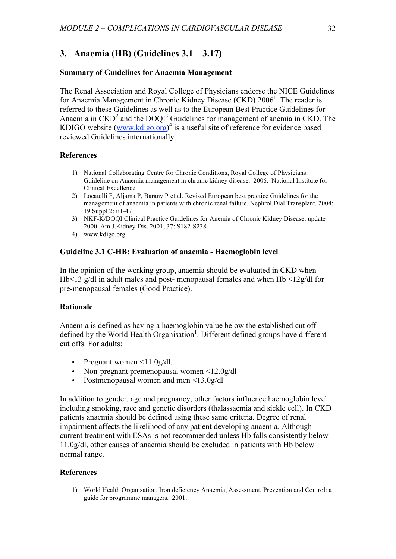# **3. Anaemia (HB) (Guidelines 3.1 – 3.17)**

### **Summary of Guidelines for Anaemia Management**

The Renal Association and Royal College of Physicians endorse the NICE Guidelines for Anaemia Management in Chronic Kidney Disease (CKD) 2006<sup>1</sup>. The reader is referred to these Guidelines as well as to the European Best Practice Guidelines for Anaemia in  $\text{CKD}^2$  and the DOQI<sup>3</sup> Guidelines for management of anemia in CKD. The KDIGO website  $(www.kdigo.org)^4$  is a useful site of reference for evidence based reviewed Guidelines internationally.

# **References**

- 1) National Collaborating Centre for Chronic Conditions, Royal College of Physicians. Guideline on Anaemia management in chronic kidney disease. 2006. National Institute for Clinical Excellence.
- 2) Locatelli F, Aljama P, Barany P et al. Revised European best practice Guidelines for the management of anaemia in patients with chronic renal failure. Nephrol.Dial.Transplant. 2004; 19 Suppl 2: ii1-47
- 3) NKF-K/DOQI Clinical Practice Guidelines for Anemia of Chronic Kidney Disease: update 2000. Am.J.Kidney Dis. 2001; 37: S182-S238
- 4) www.kdigo.org

### **Guideline 3.1 C-HB: Evaluation of anaemia - Haemoglobin level**

In the opinion of the working group, anaemia should be evaluated in CKD when Hb<13 g/dl in adult males and post- menopausal females and when Hb <12g/dl for pre-menopausal females (Good Practice).

#### **Rationale**

Anaemia is defined as having a haemoglobin value below the established cut off defined by the World Health Organisation<sup>1</sup>. Different defined groups have different cut offs. For adults:

- Pregnant women  $\leq$ 1.0g/dl.
- Non-pregnant premenopausal women <12.0g/dl
- Postmenopausal women and men <13.0g/dl

In addition to gender, age and pregnancy, other factors influence haemoglobin level including smoking, race and genetic disorders (thalassaemia and sickle cell). In CKD patients anaemia should be defined using these same criteria. Degree of renal impairment affects the likelihood of any patient developing anaemia. Although current treatment with ESAs is not recommended unless Hb falls consistently below 11.0g/dl, other causes of anaemia should be excluded in patients with Hb below normal range.

#### **References**

1) World Health Organisation. Iron deficiency Anaemia, Assessment, Prevention and Control: a guide for programme managers. 2001.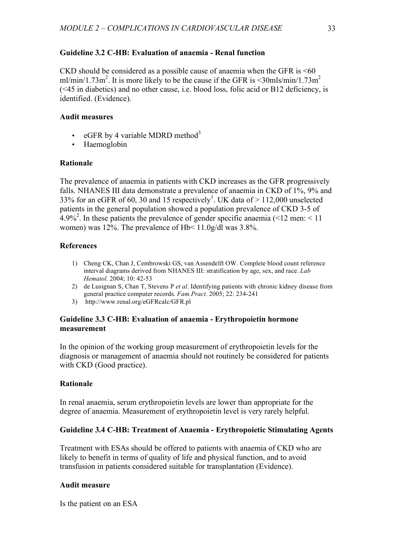# **Guideline 3.2 C-HB: Evaluation of anaemia - Renal function**

CKD should be considered as a possible cause of anaemia when the GFR is  $<60$ ml/min/1.73m<sup>2</sup>. It is more likely to be the cause if the GFR is  $\leq$ 30mls/min/1.73m<sup>2</sup> (<45 in diabetics) and no other cause, i.e. blood loss, folic acid or B12 deficiency, is identified. (Evidence).

# **Audit measures**

- eGFR by 4 variable MDRD method<sup>3</sup>
- Haemoglobin

# **Rationale**

The prevalence of anaemia in patients with CKD increases as the GFR progressively falls. NHANES III data demonstrate a prevalence of anaemia in CKD of 1%, 9% and 33% for an eGFR of 60, 30 and 15 respectively<sup>1</sup>. UK data of  $>$  112,000 unselected patients in the general population showed a population prevalence of CKD 3-5 of  $4.9\%$ <sup>2</sup>. In these patients the prevalence of gender specific anaemia (<12 men: <11 women) was 12%. The prevalence of Hb< 11.0g/dl was 3.8%.

# **References**

- 1) Cheng CK, Chan J, Cembrowski GS, van Assendelft OW. Complete blood count reference interval diagrams derived from NHANES III: stratification by age, sex, and race. *Lab Hematol.* 2004; 10: 42-53
- 2) de Lusignan S, Chan T, Stevens P *et al*. Identifying patients with chronic kidney disease from general practice computer records. *Fam.Pract.* 2005; 22: 234-241
- 3) http://www.renal.org/eGFRcalc/GFR.pl

# **Guideline 3.3 C-HB: Evaluation of anaemia - Erythropoietin hormone measurement**

In the opinion of the working group measurement of erythropoietin levels for the diagnosis or management of anaemia should not routinely be considered for patients with CKD (Good practice).

# **Rationale**

In renal anaemia, serum erythropoietin levels are lower than appropriate for the degree of anaemia. Measurement of erythropoietin level is very rarely helpful.

# **Guideline 3.4 C-HB: Treatment of Anaemia - Erythropoietic Stimulating Agents**

Treatment with ESAs should be offered to patients with anaemia of CKD who are likely to benefit in terms of quality of life and physical function, and to avoid transfusion in patients considered suitable for transplantation (Evidence).

# **Audit measure**

Is the patient on an ESA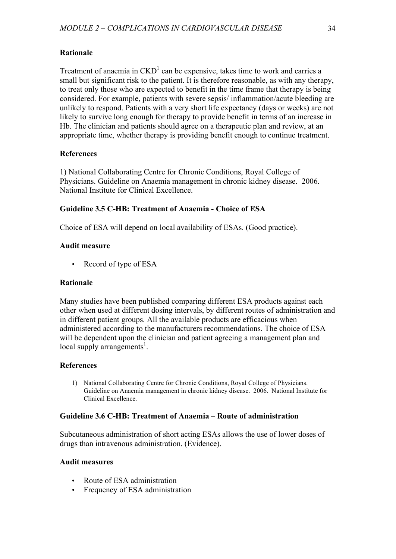# **Rationale**

Treatment of anaemia in  $\text{CKD}^1$  can be expensive, takes time to work and carries a small but significant risk to the patient. It is therefore reasonable, as with any therapy, to treat only those who are expected to benefit in the time frame that therapy is being considered. For example, patients with severe sepsis/ inflammation/acute bleeding are unlikely to respond. Patients with a very short life expectancy (days or weeks) are not likely to survive long enough for therapy to provide benefit in terms of an increase in Hb. The clinician and patients should agree on a therapeutic plan and review, at an appropriate time, whether therapy is providing benefit enough to continue treatment.

# **References**

1) National Collaborating Centre for Chronic Conditions, Royal College of Physicians. Guideline on Anaemia management in chronic kidney disease. 2006. National Institute for Clinical Excellence.

# **Guideline 3.5 C-HB: Treatment of Anaemia - Choice of ESA**

Choice of ESA will depend on local availability of ESAs. (Good practice).

# **Audit measure**

• Record of type of ESA

# **Rationale**

Many studies have been published comparing different ESA products against each other when used at different dosing intervals, by different routes of administration and in different patient groups. All the available products are efficacious when administered according to the manufacturers recommendations. The choice of ESA will be dependent upon the clinician and patient agreeing a management plan and local supply arrangements<sup>1</sup>.

# **References**

1) National Collaborating Centre for Chronic Conditions, Royal College of Physicians. Guideline on Anaemia management in chronic kidney disease. 2006. National Institute for Clinical Excellence.

# **Guideline 3.6 C-HB: Treatment of Anaemia – Route of administration**

Subcutaneous administration of short acting ESAs allows the use of lower doses of drugs than intravenous administration. (Evidence).

# **Audit measures**

- Route of ESA administration
- Frequency of ESA administration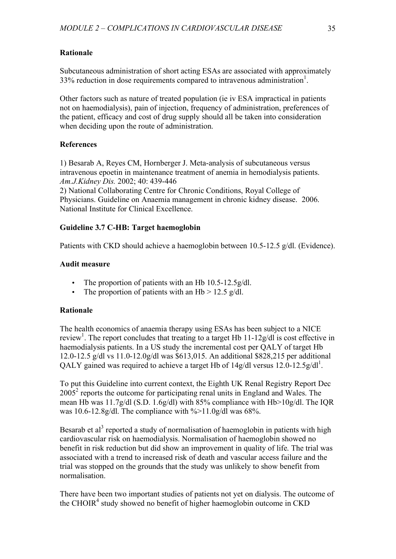# **Rationale**

Subcutaneous administration of short acting ESAs are associated with approximately 33% reduction in dose requirements compared to intravenous administration<sup>1</sup>.

Other factors such as nature of treated population (ie iv ESA impractical in patients not on haemodialysis), pain of injection, frequency of administration, preferences of the patient, efficacy and cost of drug supply should all be taken into consideration when deciding upon the route of administration.

# **References**

1) Besarab A, Reyes CM, Hornberger J. Meta-analysis of subcutaneous versus intravenous epoetin in maintenance treatment of anemia in hemodialysis patients. *Am.J.Kidney Dis.* 2002; 40: 439-446

2) National Collaborating Centre for Chronic Conditions, Royal College of Physicians. Guideline on Anaemia management in chronic kidney disease. 2006. National Institute for Clinical Excellence.

# **Guideline 3.7 C-HB: Target haemoglobin**

Patients with CKD should achieve a haemoglobin between 10.5-12.5 g/dl. (Evidence).

# **Audit measure**

- The proportion of patients with an Hb 10.5-12.5g/dl.
- The proportion of patients with an  $Hb > 12.5$  g/dl.

# **Rationale**

The health economics of anaemia therapy using ESAs has been subject to a NICE review<sup>1</sup>. The report concludes that treating to a target Hb 11-12g/dl is cost effective in haemodialysis patients. In a US study the incremental cost per QALY of target Hb 12.0-12.5 g/dl vs 11.0-12.0g/dl was \$613,015. An additional \$828,215 per additional QALY gained was required to achieve a target Hb of  $14g/dl$  versus  $12.0$ - $12.5g/dl<sup>1</sup>$ .

To put this Guideline into current context, the Eighth UK Renal Registry Report Dec  $2005<sup>2</sup>$  reports the outcome for participating renal units in England and Wales. The mean Hb was 11.7g/dl (S.D. 1.6g/dl) with 85% compliance with Hb>10g/dl. The IQR was 10.6-12.8g/dl. The compliance with  $\frac{9}{2}$ 1.0g/dl was 68%.

Besarab et al<sup>3</sup> reported a study of normalisation of haemoglobin in patients with high cardiovascular risk on haemodialysis. Normalisation of haemoglobin showed no benefit in risk reduction but did show an improvement in quality of life. The trial was associated with a trend to increased risk of death and vascular access failure and the trial was stopped on the grounds that the study was unlikely to show benefit from normalisation.

There have been two important studies of patients not yet on dialysis. The outcome of the CHOIR<sup>4</sup> study showed no benefit of higher haemoglobin outcome in CKD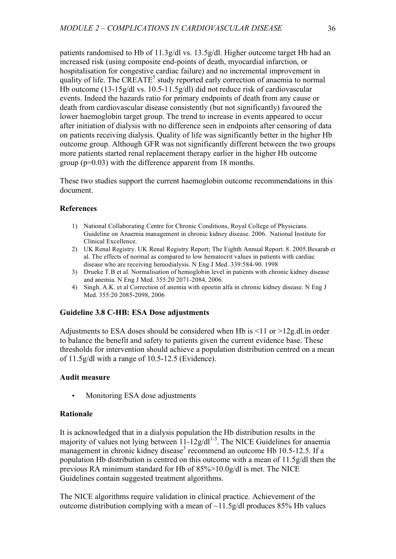patients randomised to Hb of 11.3g/dl vs. 13.5g/dl. Higher outcome target Hb had an increased risk (using composite end-points of death, myocardial infarction, or hospitalisation for congestive cardiac failure) and no incremental improvement in quality of life. The CREATE<sup>5</sup> study reported early correction of anaemia to normal Hb outcome (13-15g/dl vs. 10.5-11.5g/dl) did not reduce risk of cardiovascular events. Indeed the hazards ratio for primary endpoints of death from any cause or death from cardiovascular disease consistently (but not significantly) favoured the lower haemoglobin target group. The trend to increase in events appeared to occur after initiation of dialysis with no difference seen in endpoints after censoring of data on patients receiving dialysis. Quality of life was significantly better in the higher Hb outcome group. Although GFR was not significantly different between the two groups more patients started renal replacement therapy earlier in the higher Hb outcome group (p=0.03) with the difference apparent from 18 months.

These two studies support the current haemoglobin outcome recommendations in this document.

# **References**

- 1) National Collaborating Centre for Chronic Conditions, Royal College of Physicians. Guideline on Anaemia management in chronic kidney disease. 2006. National Institute for Clinical Excellence.
- 2) UK Renal Registry. UK Renal Registry Report; The Eighth Annual Report. 8. 2005.Besarab et al. The effects of normal as compared to low hematocrit values in patients with cardiac disease who are receiving hemodialysis. N Eng J Med. 339:584-90. 1998
- 3) Drueke T.B et al. Normalisation of hemoglobin level in patients with chronic kidney disease and anemia. N Eng J Med. 355:20 2071-2084, 2006.
- 4) Singh. A.K. et al Correction of anemia with epoetin alfa in chronic kidney disease. N Eng J Med. 355:20 2085-2098, 2006

# **Guideline 3.8 C-HB: ESA Dose adjustments**

Adjustments to ESA doses should be considered when Hb is  $\leq 11$  or  $\geq 12$  g.dl. in order to balance the benefit and safety to patients given the current evidence base. These thresholds for intervention should achieve a population distribution centred on a mean of 11.5g/dl with a range of 10.5-12.5 (Evidence).

# **Audit measure**

• Monitoring ESA dose adjustments

# **Rationale**

It is acknowledged that in a dialysis population the Hb distribution results in the majority of values not lying between  $11$ - $12g/dl^{1-3}$ . The NICE Guidelines for anaemia management in chronic kidney disease<sup>3</sup> recommend an outcome Hb 10.5-12.5. If a population Hb distribution is centred on this outcome with a mean of 11.5g/dl then the previous RA minimum standard for Hb of 85%>10.0g/dl is met. The NICE Guidelines contain suggested treatment algorithms.

The NICE algorithms require validation in clinical practice. Achievement of the outcome distribution complying with a mean of  $\sim$ 11.5g/dl produces 85% Hb values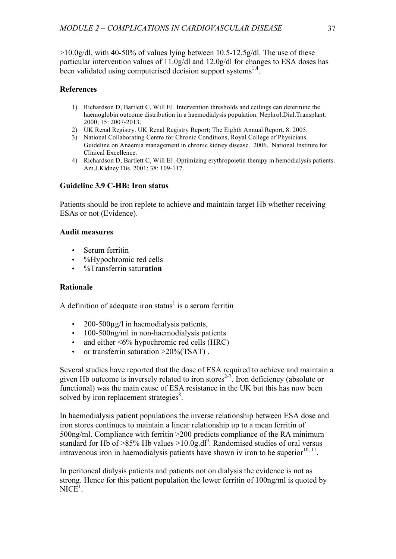$>10.0$ g/dl, with 40-50% of values lying between 10.5-12.5g/dl. The use of these particular intervention values of 11.0g/dl and 12.0g/dl for changes to ESA doses has been validated using computerised decision support systems<sup>1,4</sup>.

# **References**

- 1) Richardson D, Bartlett C, Will EJ. Intervention thresholds and ceilings can determine the haemoglobin outcome distribution in a haemodialysis population. Nephrol.Dial.Transplant. 2000; 15: 2007-2013.
- 2) UK Renal Registry. UK Renal Registry Report; The Eighth Annual Report. 8. 2005.
- 3) National Collaborating Centre for Chronic Conditions, Royal College of Physicians. Guideline on Anaemia management in chronic kidney disease. 2006. National Institute for Clinical Excellence.
- 4) Richardson D, Bartlett C, Will EJ. Optimizing erythropoietin therapy in hemodialysis patients. Am.J.Kidney Dis. 2001; 38: 109-117.

# **Guideline 3.9 C-HB: Iron status**

Patients should be iron replete to achieve and maintain target Hb whether receiving ESAs or not (Evidence).

# **Audit measures**

- Serum ferritin
- %Hypochromic red cells
- %Transferrin satu**ration**

# **Rationale**

A definition of adequate iron status<sup>1</sup> is a serum ferritin

- $200-500\mu\Omega$  in haemodialysis patients.
- 100-500ng/ml in non-haemodialysis patients
- and either  $\leq 6\%$  hypochromic red cells (HRC)
- or transferrin saturation  $>20\%$ (TSAT).

Several studies have reported that the dose of ESA required to achieve and maintain a given Hb outcome is inversely related to iron stores<sup>2-7</sup>. Iron deficiency (absolute or functional) was the main cause of ESA resistance in the UK but this has now been solved by iron replacement strategies<sup>8</sup>.

In haemodialysis patient populations the inverse relationship between ESA dose and iron stores continues to maintain a linear relationship up to a mean ferritin of 500ng/ml. Compliance with ferritin >200 predicts compliance of the RA minimum standard for Hb of >85% Hb values >10.0g.dl<sup>9</sup>. Randomised studies of oral versus intravenous iron in haemodialysis patients have shown iv iron to be superior $^{10, 11}$ .

In peritoneal dialysis patients and patients not on dialysis the evidence is not as strong. Hence for this patient population the lower ferritin of 100ng/ml is quoted by  $NICE<sup>1</sup>$ .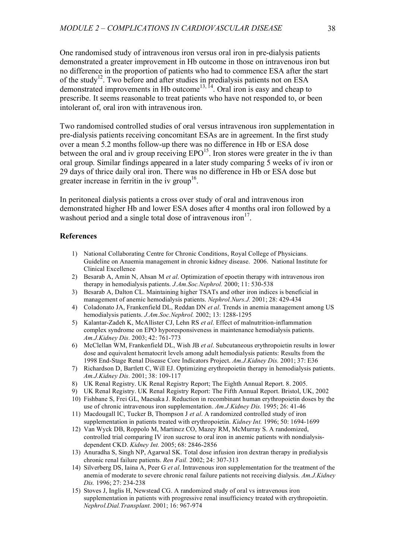One randomised study of intravenous iron versus oral iron in pre-dialysis patients demonstrated a greater improvement in Hb outcome in those on intravenous iron but no difference in the proportion of patients who had to commence ESA after the start of the study<sup>12</sup>. Two before and after studies in predialysis patients not on ESA demonstrated improvements in Hb outcome<sup>13, 14</sup>. Oral iron is easy and cheap to prescribe. It seems reasonable to treat patients who have not responded to, or been intolerant of, oral iron with intravenous iron.

Two randomised controlled studies of oral versus intravenous iron supplementation in pre-dialysis patients receiving concomitant ESAs are in agreement. In the first study over a mean 5.2 months follow-up there was no difference in Hb or ESA dose between the oral and iv group receiving  $EPO<sup>15</sup>$ . Iron stores were greater in the iv than oral group. Similar findings appeared in a later study comparing 5 weeks of iv iron or 29 days of thrice daily oral iron. There was no difference in Hb or ESA dose but greater increase in ferritin in the iv group<sup>16</sup>.

In peritoneal dialysis patients a cross over study of oral and intravenous iron demonstrated higher Hb and lower ESA doses after 4 months oral iron followed by a washout period and a single total dose of intravenous iron $17$ .

#### **References**

- 1) National Collaborating Centre for Chronic Conditions, Royal College of Physicians. Guideline on Anaemia management in chronic kidney disease. 2006. National Institute for Clinical Excellence
- 2) Besarab A, Amin N, Ahsan M *et al*. Optimization of epoetin therapy with intravenous iron therapy in hemodialysis patients. *J.Am.Soc.Nephrol.* 2000; 11: 530-538
- 3) Besarab A, Dalton CL. Maintaining higher TSATs and other iron indices is beneficial in management of anemic hemodialysis patients. *Nephrol.Nurs.J.* 2001; 28: 429-434
- 4) Coladonato JA, Frankenfield DL, Reddan DN *et al*. Trends in anemia management among US hemodialysis patients. *J.Am.Soc.Nephrol.* 2002; 13: 1288-1295
- 5) Kalantar-Zadeh K, McAllister CJ, Lehn RS *et al*. Effect of malnutrition-inflammation complex syndrome on EPO hyporesponsiveness in maintenance hemodialysis patients. *Am.J.Kidney Dis.* 2003; 42: 761-773
- 6) McClellan WM, Frankenfield DL, Wish JB *et al*. Subcutaneous erythropoietin results in lower dose and equivalent hematocrit levels among adult hemodialysis patients: Results from the 1998 End-Stage Renal Disease Core Indicators Project. *Am.J.Kidney Dis.* 2001; 37: E36
- 7) Richardson D, Bartlett C, Will EJ. Optimizing erythropoietin therapy in hemodialysis patients. *Am.J.Kidney Dis.* 2001; 38: 109-117
- 8) UK Renal Registry. UK Renal Registry Report; The Eighth Annual Report. 8. 2005.
- 9) UK Renal Registry. UK Renal Registry Report: The Fifth Annual Report. Bristol, UK, 2002
- 10) Fishbane S, Frei GL, Maesaka J. Reduction in recombinant human erythropoietin doses by the use of chronic intravenous iron supplementation. *Am.J.Kidney Dis.* 1995; 26: 41-46
- 11) Macdougall IC, Tucker B, Thompson J *et al*. A randomized controlled study of iron supplementation in patients treated with erythropoietin. *Kidney Int.* 1996; 50: 1694-1699
- 12) Van Wyck DB, Roppolo M, Martinez CO, Mazey RM, McMurray S. A randomized, controlled trial comparing IV iron sucrose to oral iron in anemic patients with nondialysisdependent CKD. *Kidney Int.* 2005; 68: 2846-2856
- 13) Anuradha S, Singh NP, Agarwal SK. Total dose infusion iron dextran therapy in predialysis chronic renal failure patients. *Ren Fail.* 2002; 24: 307-313
- 14) Silverberg DS, Iaina A, Peer G *et al*. Intravenous iron supplementation for the treatment of the anemia of moderate to severe chronic renal failure patients not receiving dialysis. *Am.J.Kidney Dis.* 1996; 27: 234-238
- 15) Stoves J, Inglis H, Newstead CG. A randomized study of oral vs intravenous iron supplementation in patients with progressive renal insufficiency treated with erythropoietin. *Nephrol.Dial.Transplant.* 2001; 16: 967-974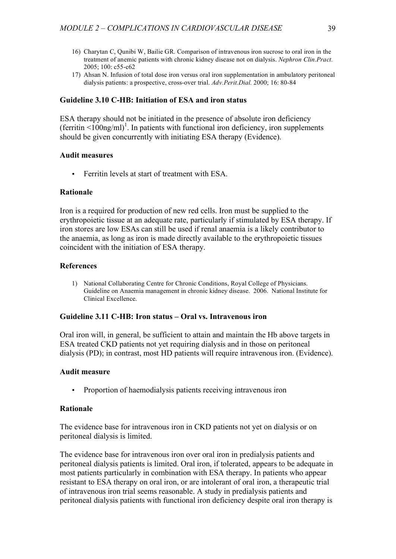- 16) Charytan C, Qunibi W, Bailie GR. Comparison of intravenous iron sucrose to oral iron in the treatment of anemic patients with chronic kidney disease not on dialysis. *Nephron Clin.Pract.* 2005; 100: c55-c62
- 17) Ahsan N. Infusion of total dose iron versus oral iron supplementation in ambulatory peritoneal dialysis patients: a prospective, cross-over trial. *Adv.Perit.Dial.* 2000; 16: 80-84

# **Guideline 3.10 C-HB: Initiation of ESA and iron status**

ESA therapy should not be initiated in the presence of absolute iron deficiency (ferritin  $\leq 100$ ng/ml)<sup>1</sup>. In patients with functional iron deficiency, iron supplements should be given concurrently with initiating ESA therapy (Evidence).

### **Audit measures**

• Ferritin levels at start of treatment with ESA.

### **Rationale**

Iron is a required for production of new red cells. Iron must be supplied to the erythropoietic tissue at an adequate rate, particularly if stimulated by ESA therapy. If iron stores are low ESAs can still be used if renal anaemia is a likely contributor to the anaemia, as long as iron is made directly available to the erythropoietic tissues coincident with the initiation of ESA therapy.

### **References**

1) National Collaborating Centre for Chronic Conditions, Royal College of Physicians. Guideline on Anaemia management in chronic kidney disease. 2006. National Institute for Clinical Excellence.

### **Guideline 3.11 C-HB: Iron status – Oral vs. Intravenous iron**

Oral iron will, in general, be sufficient to attain and maintain the Hb above targets in ESA treated CKD patients not yet requiring dialysis and in those on peritoneal dialysis (PD); in contrast, most HD patients will require intravenous iron. (Evidence).

### **Audit measure**

• Proportion of haemodialysis patients receiving intravenous iron

#### **Rationale**

The evidence base for intravenous iron in CKD patients not yet on dialysis or on peritoneal dialysis is limited.

The evidence base for intravenous iron over oral iron in predialysis patients and peritoneal dialysis patients is limited. Oral iron, if tolerated, appears to be adequate in most patients particularly in combination with ESA therapy. In patients who appear resistant to ESA therapy on oral iron, or are intolerant of oral iron, a therapeutic trial of intravenous iron trial seems reasonable. A study in predialysis patients and peritoneal dialysis patients with functional iron deficiency despite oral iron therapy is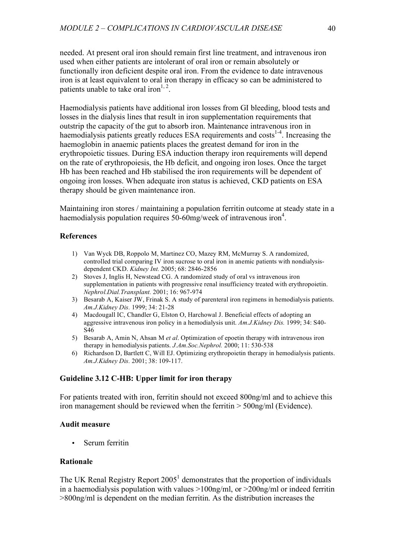needed. At present oral iron should remain first line treatment, and intravenous iron used when either patients are intolerant of oral iron or remain absolutely or functionally iron deficient despite oral iron. From the evidence to date intravenous iron is at least equivalent to oral iron therapy in efficacy so can be administered to patients unable to take oral iron<sup>1, 2</sup>.

Haemodialysis patients have additional iron losses from GI bleeding, blood tests and losses in the dialysis lines that result in iron supplementation requirements that outstrip the capacity of the gut to absorb iron. Maintenance intravenous iron in haemodialysis patients greatly reduces ESA requirements and costs<sup>1-4</sup>. Increasing the haemoglobin in anaemic patients places the greatest demand for iron in the erythropoietic tissues. During ESA induction therapy iron requirements will depend on the rate of erythropoiesis, the Hb deficit, and ongoing iron loses. Once the target Hb has been reached and Hb stabilised the iron requirements will be dependent of ongoing iron losses. When adequate iron status is achieved, CKD patients on ESA therapy should be given maintenance iron.

Maintaining iron stores / maintaining a population ferritin outcome at steady state in a haemodialysis population requires  $50 - 60$ mg/week of intravenous iron<sup>4</sup>.

#### **References**

- 1) Van Wyck DB, Roppolo M, Martinez CO, Mazey RM, McMurray S. A randomized, controlled trial comparing IV iron sucrose to oral iron in anemic patients with nondialysisdependent CKD. *Kidney Int.* 2005; 68: 2846-2856
- 2) Stoves J, Inglis H, Newstead CG. A randomized study of oral vs intravenous iron supplementation in patients with progressive renal insufficiency treated with erythropoietin. *Nephrol.Dial.Transplant.* 2001; 16: 967-974
- 3) Besarab A, Kaiser JW, Frinak S. A study of parenteral iron regimens in hemodialysis patients. *Am.J.Kidney Dis.* 1999; 34: 21-28
- 4) Macdougall IC, Chandler G, Elston O, Harchowal J. Beneficial effects of adopting an aggressive intravenous iron policy in a hemodialysis unit. *Am.J.Kidney Dis.* 1999; 34: S40- S46
- 5) Besarab A, Amin N, Ahsan M *et al*. Optimization of epoetin therapy with intravenous iron therapy in hemodialysis patients. *J.Am.Soc.Nephrol.* 2000; 11: 530-538
- 6) Richardson D, Bartlett C, Will EJ. Optimizing erythropoietin therapy in hemodialysis patients. *Am.J.Kidney Dis.* 2001; 38: 109-117.

# **Guideline 3.12 C-HB: Upper limit for iron therapy**

For patients treated with iron, ferritin should not exceed 800ng/ml and to achieve this iron management should be reviewed when the ferritin > 500ng/ml (Evidence).

# **Audit measure**

Serum ferritin

# **Rationale**

The UK Renal Registry Report  $2005<sup>1</sup>$  demonstrates that the proportion of individuals in a haemodialysis population with values  $>100$ ng/ml, or  $>200$ ng/ml or indeed ferritin >800ng/ml is dependent on the median ferritin. As the distribution increases the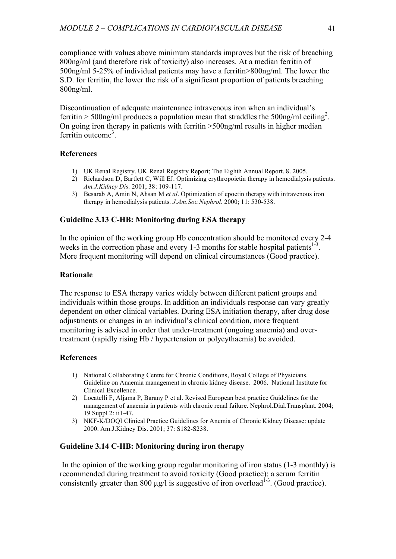compliance with values above minimum standards improves but the risk of breaching 800ng/ml (and therefore risk of toxicity) also increases. At a median ferritin of 500ng/ml 5-25% of individual patients may have a ferritin>800ng/ml. The lower the S.D. for ferritin, the lower the risk of a significant proportion of patients breaching 800ng/ml.

Discontinuation of adequate maintenance intravenous iron when an individual's ferritin > 500ng/ml produces a population mean that straddles the 500ng/ml ceiling<sup>2</sup>. On going iron therapy in patients with ferritin >500ng/ml results in higher median ferritin outcome<sup>3</sup>.

# **References**

- 1) UK Renal Registry. UK Renal Registry Report; The Eighth Annual Report. 8. 2005.
- 2) Richardson D, Bartlett C, Will EJ. Optimizing erythropoietin therapy in hemodialysis patients. *Am.J.Kidney Dis.* 2001; 38: 109-117.
- 3) Besarab A, Amin N, Ahsan M *et al*. Optimization of epoetin therapy with intravenous iron therapy in hemodialysis patients. *J.Am.Soc.Nephrol.* 2000; 11: 530-538.

# **Guideline 3.13 C-HB: Monitoring during ESA therapy**

In the opinion of the working group Hb concentration should be monitored every 2-4 weeks in the correction phase and every 1-3 months for stable hospital patients<sup>1-3</sup>. More frequent monitoring will depend on clinical circumstances (Good practice).

# **Rationale**

The response to ESA therapy varies widely between different patient groups and individuals within those groups. In addition an individuals response can vary greatly dependent on other clinical variables. During ESA initiation therapy, after drug dose adjustments or changes in an individual's clinical condition, more frequent monitoring is advised in order that under-treatment (ongoing anaemia) and overtreatment (rapidly rising Hb / hypertension or polycythaemia) be avoided.

# **References**

- 1) National Collaborating Centre for Chronic Conditions, Royal College of Physicians. Guideline on Anaemia management in chronic kidney disease. 2006. National Institute for Clinical Excellence.
- 2) Locatelli F, Aljama P, Barany P et al. Revised European best practice Guidelines for the management of anaemia in patients with chronic renal failure. Nephrol.Dial.Transplant. 2004; 19 Suppl 2: ii1-47.
- 3) NKF-K/DOQI Clinical Practice Guidelines for Anemia of Chronic Kidney Disease: update 2000. Am.J.Kidney Dis. 2001; 37: S182-S238.

# **Guideline 3.14 C-HB: Monitoring during iron therapy**

In the opinion of the working group regular monitoring of iron status (1-3 monthly) is recommended during treatment to avoid toxicity (Good practice): a serum ferritin consistently greater than 800  $\mu$ g/l is suggestive of iron overload<sup>1-3</sup>. (Good practice).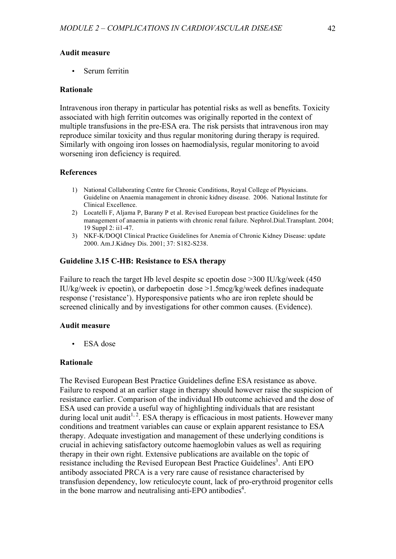### **Audit measure**

Serum ferritin

### **Rationale**

Intravenous iron therapy in particular has potential risks as well as benefits. Toxicity associated with high ferritin outcomes was originally reported in the context of multiple transfusions in the pre-ESA era. The risk persists that intravenous iron may reproduce similar toxicity and thus regular monitoring during therapy is required. Similarly with ongoing iron losses on haemodialysis, regular monitoring to avoid worsening iron deficiency is required.

### **References**

- 1) National Collaborating Centre for Chronic Conditions, Royal College of Physicians. Guideline on Anaemia management in chronic kidney disease. 2006. National Institute for Clinical Excellence.
- 2) Locatelli F, Aljama P, Barany P et al. Revised European best practice Guidelines for the management of anaemia in patients with chronic renal failure. Nephrol.Dial.Transplant. 2004; 19 Suppl 2: ii1-47.
- 3) NKF-K/DOQI Clinical Practice Guidelines for Anemia of Chronic Kidney Disease: update 2000. Am.J.Kidney Dis. 2001; 37: S182-S238.

# **Guideline 3.15 C-HB: Resistance to ESA therapy**

Failure to reach the target Hb level despite sc epoetin dose >300 IU/kg/week (450 IU/kg/week iv epoetin), or darbepoetin dose >1.5mcg/kg/week defines inadequate response ('resistance'). Hyporesponsive patients who are iron replete should be screened clinically and by investigations for other common causes. (Evidence).

#### **Audit measure**

• ESA dose

### **Rationale**

The Revised European Best Practice Guidelines define ESA resistance as above. Failure to respond at an earlier stage in therapy should however raise the suspicion of resistance earlier. Comparison of the individual Hb outcome achieved and the dose of ESA used can provide a useful way of highlighting individuals that are resistant during local unit audit<sup>1, 2</sup>. ESA therapy is efficacious in most patients. However many conditions and treatment variables can cause or explain apparent resistance to ESA therapy. Adequate investigation and management of these underlying conditions is crucial in achieving satisfactory outcome haemoglobin values as well as requiring therapy in their own right. Extensive publications are available on the topic of resistance including the Revised European Best Practice Guidelines<sup>3</sup>. Anti EPO antibody associated PRCA is a very rare cause of resistance characterised by transfusion dependency, low reticulocyte count, lack of pro-erythroid progenitor cells in the bone marrow and neutralising anti-EPO antibodies 4 .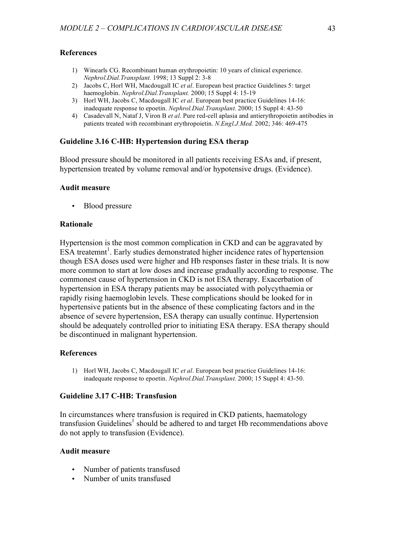### **References**

- 1) Winearls CG. Recombinant human erythropoietin: 10 years of clinical experience. *Nephrol.Dial.Transplant.* 1998; 13 Suppl 2: 3-8
- 2) Jacobs C, Horl WH, Macdougall IC *et al*. European best practice Guidelines 5: target haemoglobin. *Nephrol.Dial.Transplant.* 2000; 15 Suppl 4: 15-19
- 3) Horl WH, Jacobs C, Macdougall IC *et al*. European best practice Guidelines 14-16: inadequate response to epoetin. *Nephrol.Dial.Transplant.* 2000; 15 Suppl 4: 43-50
- 4) Casadevall N, Nataf J, Viron B *et al*. Pure red-cell aplasia and antierythropoietin antibodies in patients treated with recombinant erythropoietin. *N.Engl.J.Med.* 2002; 346: 469-475

### **Guideline 3.16 C-HB: Hypertension during ESA therap**

Blood pressure should be monitored in all patients receiving ESAs and, if present, hypertension treated by volume removal and/or hypotensive drugs. (Evidence).

#### **Audit measure**

• Blood pressure

### **Rationale**

Hypertension is the most common complication in CKD and can be aggravated by ESA treatemnt<sup>1</sup>. Early studies demonstrated higher incidence rates of hypertension though ESA doses used were higher and Hb responses faster in these trials. It is now more common to start at low doses and increase gradually according to response. The commonest cause of hypertension in CKD is not ESA therapy. Exacerbation of hypertension in ESA therapy patients may be associated with polycythaemia or rapidly rising haemoglobin levels. These complications should be looked for in hypertensive patients but in the absence of these complicating factors and in the absence of severe hypertension, ESA therapy can usually continue. Hypertension should be adequately controlled prior to initiating ESA therapy. ESA therapy should be discontinued in malignant hypertension.

#### **References**

1) Horl WH, Jacobs C, Macdougall IC *et al*. European best practice Guidelines 14-16: inadequate response to epoetin. *Nephrol.Dial.Transplant.* 2000; 15 Suppl 4: 43-50.

# **Guideline 3.17 C-HB: Transfusion**

In circumstances where transfusion is required in CKD patients, haematology transfusion Guidelines<sup>1</sup> should be adhered to and target Hb recommendations above do not apply to transfusion (Evidence).

### **Audit measure**

- Number of patients transfused
- Number of units transfused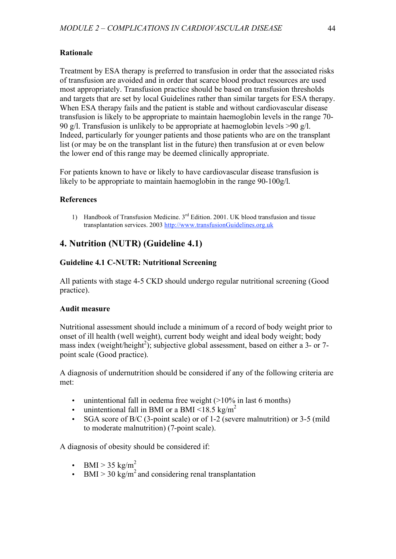# **Rationale**

Treatment by ESA therapy is preferred to transfusion in order that the associated risks of transfusion are avoided and in order that scarce blood product resources are used most appropriately. Transfusion practice should be based on transfusion thresholds and targets that are set by local Guidelines rather than similar targets for ESA therapy. When ESA therapy fails and the patient is stable and without cardiovascular disease transfusion is likely to be appropriate to maintain haemoglobin levels in the range 70- 90 g/l. Transfusion is unlikely to be appropriate at haemoglobin levels >90 g/l. Indeed, particularly for younger patients and those patients who are on the transplant list (or may be on the transplant list in the future) then transfusion at or even below the lower end of this range may be deemed clinically appropriate.

For patients known to have or likely to have cardiovascular disease transfusion is likely to be appropriate to maintain haemoglobin in the range 90-100g/l.

# **References**

1) Handbook of Transfusion Medicine. 3<sup>rd</sup> Edition. 2001. UK blood transfusion and tissue transplantation services. 2003 http://www.transfusionGuidelines.org.uk

# **4. Nutrition (NUTR) (Guideline 4.1)**

# **Guideline 4.1 C-NUTR: Nutritional Screening**

All patients with stage 4-5 CKD should undergo regular nutritional screening (Good practice).

# **Audit measure**

Nutritional assessment should include a minimum of a record of body weight prior to onset of ill health (well weight), current body weight and ideal body weight; body mass index (weight/height<sup>2</sup>); subjective global assessment, based on either a 3- or 7point scale (Good practice).

A diagnosis of undernutrition should be considered if any of the following criteria are met:

- unintentional fall in oedema free weight  $(>10\%$  in last 6 months)
- unintentional fall in BMI or a BMI <18.5 kg/m<sup>2</sup>
- SGA score of B/C (3-point scale) or of 1-2 (severe malnutrition) or 3-5 (mild to moderate malnutrition) (7-point scale).

A diagnosis of obesity should be considered if:

- BMI > 35 kg/m<sup>2</sup>
- BMI > 30 kg/m<sup>2</sup> and considering renal transplantation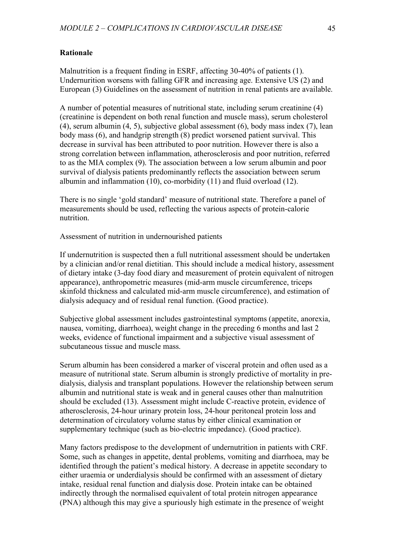# **Rationale**

Malnutrition is a frequent finding in ESRF, affecting 30-40% of patients (1). Undernurition worsens with falling GFR and increasing age. Extensive US (2) and European (3) Guidelines on the assessment of nutrition in renal patients are available.

A number of potential measures of nutritional state, including serum creatinine (4) (creatinine is dependent on both renal function and muscle mass), serum cholesterol (4), serum albumin (4, 5), subjective global assessment (6), body mass index (7), lean body mass (6), and handgrip strength (8) predict worsened patient survival. This decrease in survival has been attributed to poor nutrition. However there is also a strong correlation between inflammation, atherosclerosis and poor nutrition, referred to as the MIA complex (9). The association between a low serum albumin and poor survival of dialysis patients predominantly reflects the association between serum albumin and inflammation (10), co-morbidity (11) and fluid overload (12).

There is no single 'gold standard' measure of nutritional state. Therefore a panel of measurements should be used, reflecting the various aspects of protein-calorie nutrition.

Assessment of nutrition in undernourished patients

If undernutrition is suspected then a full nutritional assessment should be undertaken by a clinician and/or renal dietitian. This should include a medical history, assessment of dietary intake (3-day food diary and measurement of protein equivalent of nitrogen appearance), anthropometric measures (mid-arm muscle circumference, triceps skinfold thickness and calculated mid-arm muscle circumference), and estimation of dialysis adequacy and of residual renal function. (Good practice).

Subjective global assessment includes gastrointestinal symptoms (appetite, anorexia, nausea, vomiting, diarrhoea), weight change in the preceding 6 months and last 2 weeks, evidence of functional impairment and a subjective visual assessment of subcutaneous tissue and muscle mass.

Serum albumin has been considered a marker of visceral protein and often used as a measure of nutritional state. Serum albumin is strongly predictive of mortality in predialysis, dialysis and transplant populations. However the relationship between serum albumin and nutritional state is weak and in general causes other than malnutrition should be excluded (13). Assessment might include C-reactive protein, evidence of atherosclerosis, 24-hour urinary protein loss, 24-hour peritoneal protein loss and determination of circulatory volume status by either clinical examination or supplementary technique (such as bio-electric impedance). (Good practice).

Many factors predispose to the development of undernutrition in patients with CRF. Some, such as changes in appetite, dental problems, vomiting and diarrhoea, may be identified through the patient's medical history. A decrease in appetite secondary to either uraemia or underdialysis should be confirmed with an assessment of dietary intake, residual renal function and dialysis dose. Protein intake can be obtained indirectly through the normalised equivalent of total protein nitrogen appearance (PNA) although this may give a spuriously high estimate in the presence of weight